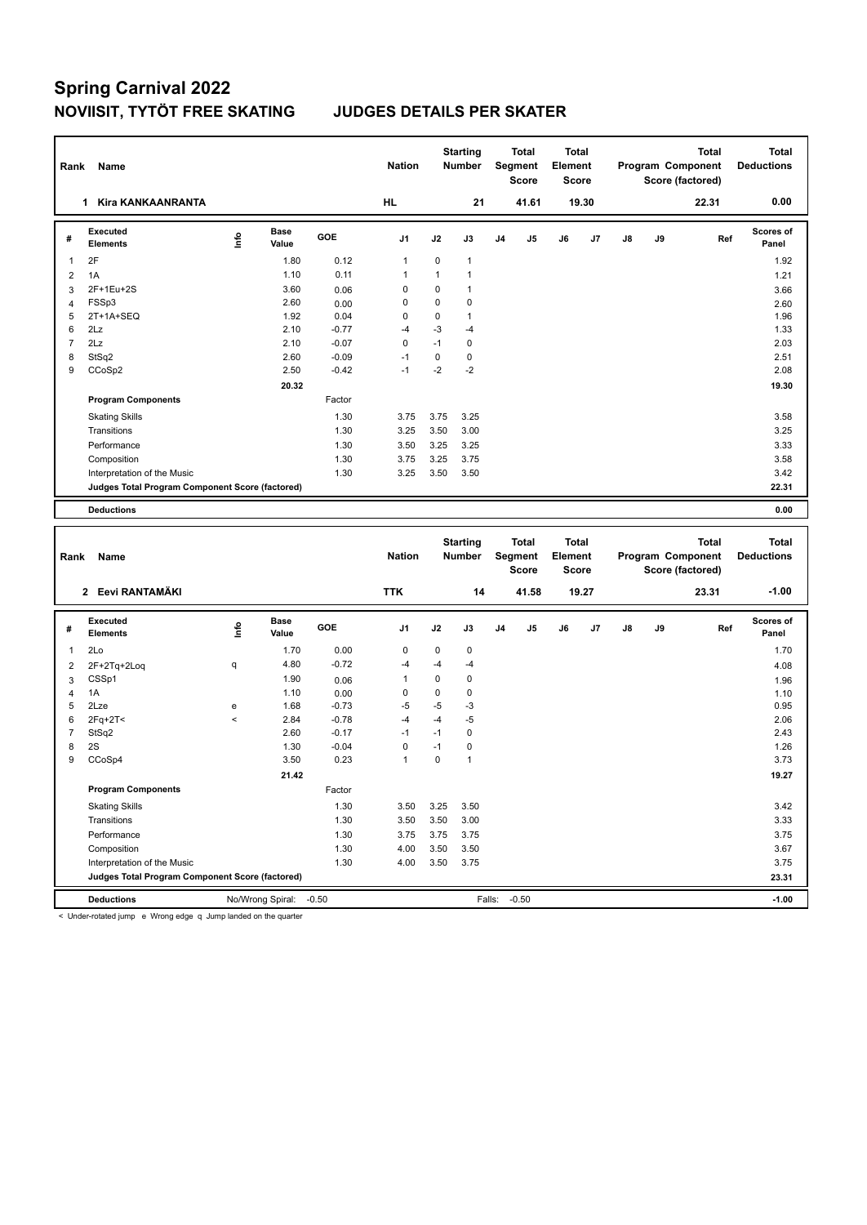| Rank           | Name                                            |      |                      |         | <b>Nation</b>  |              | <b>Starting</b><br><b>Number</b> |                | <b>Total</b><br>Segment<br><b>Score</b>        | <b>Total</b><br>Element<br><b>Score</b> |       |    |    | <b>Total</b><br>Program Component<br>Score (factored) | <b>Total</b><br><b>Deductions</b> |
|----------------|-------------------------------------------------|------|----------------------|---------|----------------|--------------|----------------------------------|----------------|------------------------------------------------|-----------------------------------------|-------|----|----|-------------------------------------------------------|-----------------------------------|
|                | <b>Kira KANKAANRANTA</b><br>$\mathbf{1}$        |      |                      |         | <b>HL</b>      |              | 21                               |                | 41.61                                          |                                         | 19.30 |    |    | 22.31                                                 | 0.00                              |
| #              | <b>Executed</b><br><b>Elements</b>              | ۴ů   | <b>Base</b><br>Value | GOE     | J <sub>1</sub> | J2           | J3                               | J <sub>4</sub> | J5                                             | J6                                      | J7    | J8 | J9 | Ref                                                   | Scores of<br>Panel                |
| 1              | 2F                                              |      | 1.80                 | 0.12    | 1              | 0            | $\mathbf{1}$                     |                |                                                |                                         |       |    |    |                                                       | 1.92                              |
| 2              | 1A                                              |      | 1.10                 | 0.11    | $\mathbf{1}$   | $\mathbf{1}$ | $\mathbf{1}$                     |                |                                                |                                         |       |    |    |                                                       | 1.21                              |
| 3              | 2F+1Eu+2S                                       |      | 3.60                 | 0.06    | 0              | 0            | $\mathbf{1}$                     |                |                                                |                                         |       |    |    |                                                       | 3.66                              |
| $\overline{4}$ | FSSp3                                           |      | 2.60                 | 0.00    | 0              | 0            | $\mathbf 0$                      |                |                                                |                                         |       |    |    |                                                       | 2.60                              |
| 5              | 2T+1A+SEQ                                       |      | 1.92                 | 0.04    | 0              | 0            | $\mathbf{1}$                     |                |                                                |                                         |       |    |    |                                                       | 1.96                              |
| 6              | 2Lz                                             |      | 2.10                 | $-0.77$ | $-4$           | $-3$         | $-4$                             |                |                                                |                                         |       |    |    |                                                       | 1.33                              |
| $\overline{7}$ | 2Lz                                             |      | 2.10                 | $-0.07$ | $\mathbf 0$    | $-1$         | $\mathbf 0$                      |                |                                                |                                         |       |    |    |                                                       | 2.03                              |
| 8              | StSq2                                           |      | 2.60                 | $-0.09$ | $-1$           | $\mathbf 0$  | $\mathbf 0$                      |                |                                                |                                         |       |    |    |                                                       | 2.51                              |
| 9              | CCoSp2                                          |      | 2.50                 | $-0.42$ | $-1$           | $-2$         | $-2$                             |                |                                                |                                         |       |    |    |                                                       | 2.08                              |
|                |                                                 |      | 20.32                |         |                |              |                                  |                |                                                |                                         |       |    |    |                                                       | 19.30                             |
|                | <b>Program Components</b>                       |      |                      | Factor  |                |              |                                  |                |                                                |                                         |       |    |    |                                                       |                                   |
|                | <b>Skating Skills</b>                           |      |                      | 1.30    | 3.75           | 3.75         | 3.25                             |                |                                                |                                         |       |    |    |                                                       | 3.58                              |
|                | Transitions                                     |      |                      | 1.30    | 3.25           | 3.50         | 3.00                             |                |                                                |                                         |       |    |    |                                                       | 3.25                              |
|                | Performance                                     |      |                      | 1.30    | 3.50           | 3.25         | 3.25                             |                |                                                |                                         |       |    |    |                                                       | 3.33                              |
|                | Composition                                     |      |                      | 1.30    | 3.75           | 3.25         | 3.75                             |                |                                                |                                         |       |    |    |                                                       | 3.58                              |
|                | Interpretation of the Music                     |      |                      | 1.30    | 3.25           | 3.50         | 3.50                             |                |                                                |                                         |       |    |    |                                                       | 3.42                              |
|                | Judges Total Program Component Score (factored) |      |                      |         |                |              |                                  |                |                                                |                                         |       |    |    |                                                       | 22.31                             |
|                | <b>Deductions</b>                               |      |                      |         |                |              |                                  |                |                                                |                                         |       |    |    |                                                       | 0.00                              |
|                |                                                 |      |                      |         |                |              |                                  |                |                                                |                                         |       |    |    |                                                       |                                   |
| Rank           | Name                                            |      |                      |         | <b>Nation</b>  |              | <b>Starting</b><br><b>Number</b> |                | <b>Total</b><br><b>Segment</b><br><b>Score</b> | <b>Total</b><br>Element<br><b>Score</b> |       |    |    | <b>Total</b><br>Program Component<br>Score (factored) | <b>Total</b><br><b>Deductions</b> |
|                | 2 Eevi RANTAMÄKI                                |      |                      |         | <b>TTK</b>     |              | 14                               |                | 41.58                                          |                                         | 19.27 |    |    | 23.31                                                 | $-1.00$                           |
| #              | <b>Executed</b><br><b>Elements</b>              | ١nf٥ | <b>Base</b><br>Value | GOE     | J <sub>1</sub> | J2           | J3                               | J4             | J5                                             | J6                                      | J7    | J8 | J9 | Ref                                                   | Scores of<br>Panel                |
| 1              | 2Lo                                             |      | 1.70                 | 0.00    | 0              | 0            | $\mathbf 0$                      |                |                                                |                                         |       |    |    |                                                       | 1.70                              |
| 2              | 2F+2Tq+2Loq                                     | q    | 4.80                 | $-0.72$ | $-4$           | $-4$         | $-4$                             |                |                                                |                                         |       |    |    |                                                       | 4.08                              |
| 3              | CSSp1                                           |      | 1.90                 | 0.06    | $\mathbf{1}$   | 0            | $\mathbf 0$                      |                |                                                |                                         |       |    |    |                                                       | 1.96                              |

4 1A 10 0.00 0 0 0 0 1.10 1.10 2Lze e 1.68 -0.73 -5 -5 -3 0.95  $2$ Fq+2T<  $\le$   $2.06$   $-4$   $-4$   $-5$   $-2.06$  StSq2 2.60 -0.17 -1 -1 0 2.43 2S 1.30 -0.04 0 -1 0 1.26 CCoSp4 3.50 0.23 1 0 1 3.73

Skating Skills 3.50 3.25 3.50 1.30 3.42

Transitions 1.30 3.50 3.50 3.00 3.33 Performance 1.30 3.75 3.75 3.75 3.75 Composition 1.30 4.00 3.50 3.50 3.67 Interpretation of the Music 2.75 3.75 3.75 3.75

**Deductions** No/Wrong Spiral: -0.50 Falls: -0.50 **-1.00 Judges Total Program Component Score (factored) 23.31**

Factor

**21.42 19.27** 

< Under-rotated jump e Wrong edge q Jump landed on the quarter

**Program Components**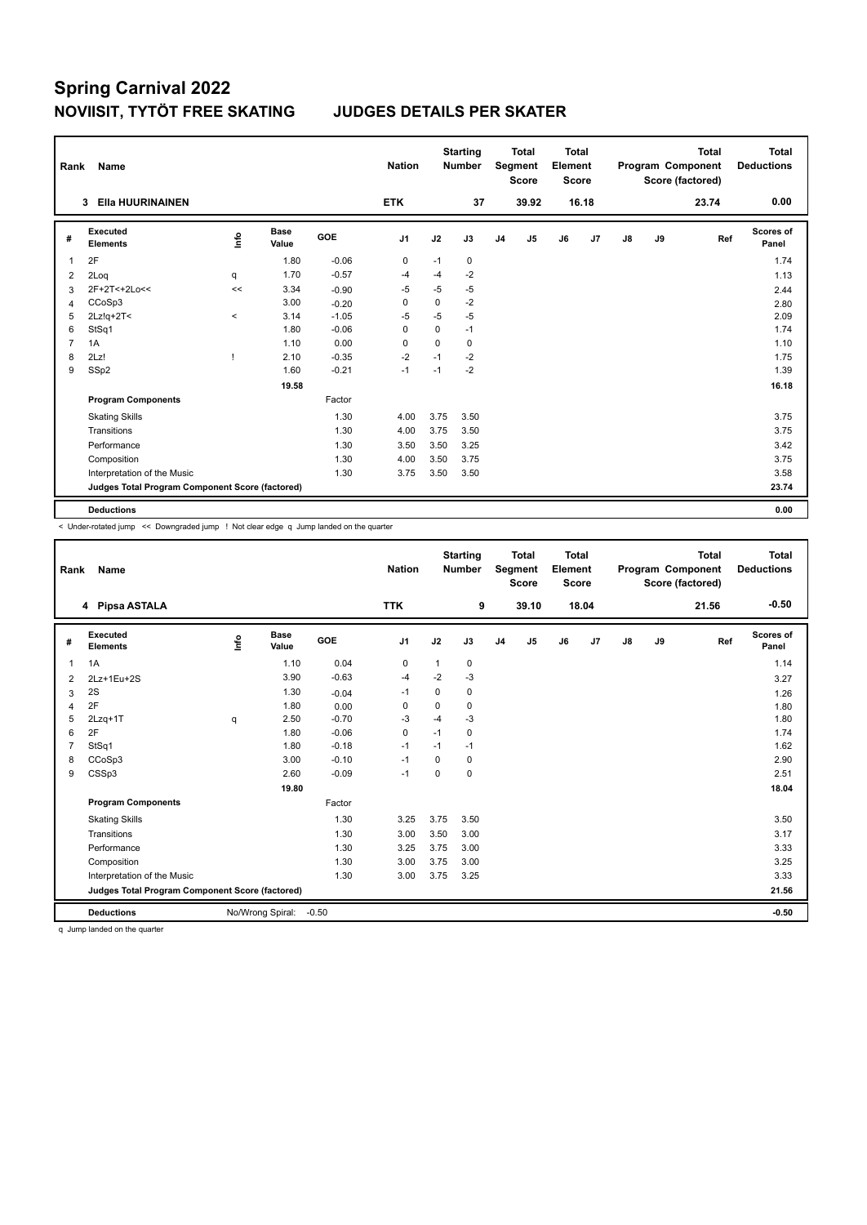| Rank           | Name                                            | <b>Nation</b> |                      | <b>Starting</b><br><b>Number</b> |                | <b>Total</b><br>Segment<br><b>Score</b> | <b>Total</b><br>Element<br><b>Score</b> |                |       |    | <b>Total</b><br>Program Component<br>Score (factored) | Total<br><b>Deductions</b> |    |       |                           |
|----------------|-------------------------------------------------|---------------|----------------------|----------------------------------|----------------|-----------------------------------------|-----------------------------------------|----------------|-------|----|-------------------------------------------------------|----------------------------|----|-------|---------------------------|
|                | <b>EIIa HUURINAINEN</b><br>3                    |               |                      |                                  | <b>ETK</b>     |                                         | 37                                      |                | 39.92 |    | 16.18                                                 |                            |    | 23.74 | 0.00                      |
| #              | Executed<br><b>Elements</b>                     | <u>info</u>   | <b>Base</b><br>Value | GOE                              | J <sub>1</sub> | J2                                      | J3                                      | J <sub>4</sub> | J5    | J6 | J <sub>7</sub>                                        | $\mathsf{J}8$              | J9 | Ref   | <b>Scores of</b><br>Panel |
| $\overline{1}$ | 2F                                              |               | 1.80                 | $-0.06$                          | $\mathbf 0$    | $-1$                                    | 0                                       |                |       |    |                                                       |                            |    |       | 1.74                      |
| 2              | 2Log                                            | q             | 1.70                 | $-0.57$                          | -4             | -4                                      | $-2$                                    |                |       |    |                                                       |                            |    |       | 1.13                      |
| 3              | 2F+2T<+2Lo<<                                    | <<            | 3.34                 | $-0.90$                          | -5             | $-5$                                    | $-5$                                    |                |       |    |                                                       |                            |    |       | 2.44                      |
| $\overline{4}$ | CCoSp3                                          |               | 3.00                 | $-0.20$                          | 0              | 0                                       | $-2$                                    |                |       |    |                                                       |                            |    |       | 2.80                      |
| 5              | $2Lz!q+2T5$                                     | $\prec$       | 3.14                 | $-1.05$                          | -5             | -5                                      | $-5$                                    |                |       |    |                                                       |                            |    |       | 2.09                      |
| 6              | StSq1                                           |               | 1.80                 | $-0.06$                          | 0              | $\Omega$                                | $-1$                                    |                |       |    |                                                       |                            |    |       | 1.74                      |
| $\overline{7}$ | 1A                                              |               | 1.10                 | 0.00                             | $\mathbf 0$    | $\Omega$                                | 0                                       |                |       |    |                                                       |                            |    |       | 1.10                      |
| 8              | 2Lz!                                            |               | 2.10                 | $-0.35$                          | $-2$           | $-1$                                    | $-2$                                    |                |       |    |                                                       |                            |    |       | 1.75                      |
| 9              | SSp2                                            |               | 1.60                 | $-0.21$                          | $-1$           | $-1$                                    | $-2$                                    |                |       |    |                                                       |                            |    |       | 1.39                      |
|                |                                                 |               | 19.58                |                                  |                |                                         |                                         |                |       |    |                                                       |                            |    |       | 16.18                     |
|                | <b>Program Components</b>                       |               |                      | Factor                           |                |                                         |                                         |                |       |    |                                                       |                            |    |       |                           |
|                | <b>Skating Skills</b>                           |               |                      | 1.30                             | 4.00           | 3.75                                    | 3.50                                    |                |       |    |                                                       |                            |    |       | 3.75                      |
|                | Transitions                                     |               |                      | 1.30                             | 4.00           | 3.75                                    | 3.50                                    |                |       |    |                                                       |                            |    |       | 3.75                      |
|                | Performance                                     |               |                      | 1.30                             | 3.50           | 3.50                                    | 3.25                                    |                |       |    |                                                       |                            |    |       | 3.42                      |
|                | Composition                                     |               |                      | 1.30                             | 4.00           | 3.50                                    | 3.75                                    |                |       |    |                                                       |                            |    |       | 3.75                      |
|                | Interpretation of the Music                     |               |                      | 1.30                             | 3.75           | 3.50                                    | 3.50                                    |                |       |    |                                                       |                            |    |       | 3.58                      |
|                | Judges Total Program Component Score (factored) |               |                      |                                  |                |                                         |                                         |                |       |    |                                                       |                            |    |       | 23.74                     |
|                | <b>Deductions</b>                               |               |                      |                                  |                |                                         |                                         |                |       |    |                                                       |                            |    |       | 0.00                      |

< Under-rotated jump << Downgraded jump ! Not clear edge q Jump landed on the quarter

| Rank           | Name                                            |      |                      |         | <b>Nation</b> |              | <b>Starting</b><br><b>Number</b> |                | <b>Total</b><br><b>Segment</b><br><b>Score</b> | <b>Total</b><br>Element<br><b>Score</b> |       |               |    | <b>Total</b><br>Program Component<br>Score (factored) | <b>Total</b><br><b>Deductions</b> |
|----------------|-------------------------------------------------|------|----------------------|---------|---------------|--------------|----------------------------------|----------------|------------------------------------------------|-----------------------------------------|-------|---------------|----|-------------------------------------------------------|-----------------------------------|
|                | 4 Pipsa ASTALA                                  |      |                      |         | <b>TTK</b>    |              | 9                                |                | 39.10                                          |                                         | 18.04 |               |    | 21.56                                                 | $-0.50$                           |
| #              | Executed<br><b>Elements</b>                     | ١nf٥ | <b>Base</b><br>Value | GOE     | J1            | J2           | J3                               | J <sub>4</sub> | J5                                             | J6                                      | J7    | $\mathsf{J}8$ | J9 | Ref                                                   | <b>Scores of</b><br>Panel         |
| 1              | 1A                                              |      | 1.10                 | 0.04    | $\mathbf 0$   | $\mathbf{1}$ | 0                                |                |                                                |                                         |       |               |    |                                                       | 1.14                              |
| 2              | 2Lz+1Eu+2S                                      |      | 3.90                 | $-0.63$ | $-4$          | $-2$         | $-3$                             |                |                                                |                                         |       |               |    |                                                       | 3.27                              |
| 3              | 2S                                              |      | 1.30                 | $-0.04$ | $-1$          | 0            | 0                                |                |                                                |                                         |       |               |    |                                                       | 1.26                              |
| 4              | 2F                                              |      | 1.80                 | 0.00    | $\mathbf 0$   | $\Omega$     | 0                                |                |                                                |                                         |       |               |    |                                                       | 1.80                              |
| 5              | $2Lzq+1T$                                       | q    | 2.50                 | $-0.70$ | $-3$          | $-4$         | $-3$                             |                |                                                |                                         |       |               |    |                                                       | 1.80                              |
| 6              | 2F                                              |      | 1.80                 | $-0.06$ | 0             | $-1$         | 0                                |                |                                                |                                         |       |               |    |                                                       | 1.74                              |
| $\overline{7}$ | StSq1                                           |      | 1.80                 | $-0.18$ | $-1$          | $-1$         | $-1$                             |                |                                                |                                         |       |               |    |                                                       | 1.62                              |
| 8              | CCoSp3                                          |      | 3.00                 | $-0.10$ | $-1$          | 0            | 0                                |                |                                                |                                         |       |               |    |                                                       | 2.90                              |
| 9              | CSSp3                                           |      | 2.60                 | $-0.09$ | $-1$          | $\Omega$     | 0                                |                |                                                |                                         |       |               |    |                                                       | 2.51                              |
|                |                                                 |      | 19.80                |         |               |              |                                  |                |                                                |                                         |       |               |    |                                                       | 18.04                             |
|                | <b>Program Components</b>                       |      |                      | Factor  |               |              |                                  |                |                                                |                                         |       |               |    |                                                       |                                   |
|                | <b>Skating Skills</b>                           |      |                      | 1.30    | 3.25          | 3.75         | 3.50                             |                |                                                |                                         |       |               |    |                                                       | 3.50                              |
|                | Transitions                                     |      |                      | 1.30    | 3.00          | 3.50         | 3.00                             |                |                                                |                                         |       |               |    |                                                       | 3.17                              |
|                | Performance                                     |      |                      | 1.30    | 3.25          | 3.75         | 3.00                             |                |                                                |                                         |       |               |    |                                                       | 3.33                              |
|                | Composition                                     |      |                      | 1.30    | 3.00          | 3.75         | 3.00                             |                |                                                |                                         |       |               |    |                                                       | 3.25                              |
|                | Interpretation of the Music                     |      |                      | 1.30    | 3.00          | 3.75         | 3.25                             |                |                                                |                                         |       |               |    |                                                       | 3.33                              |
|                | Judges Total Program Component Score (factored) |      |                      |         |               |              |                                  |                |                                                |                                         |       |               |    |                                                       | 21.56                             |
|                | <b>Deductions</b>                               |      | No/Wrong Spiral:     | $-0.50$ |               |              |                                  |                |                                                |                                         |       |               |    |                                                       | $-0.50$                           |

q Jump landed on the quarter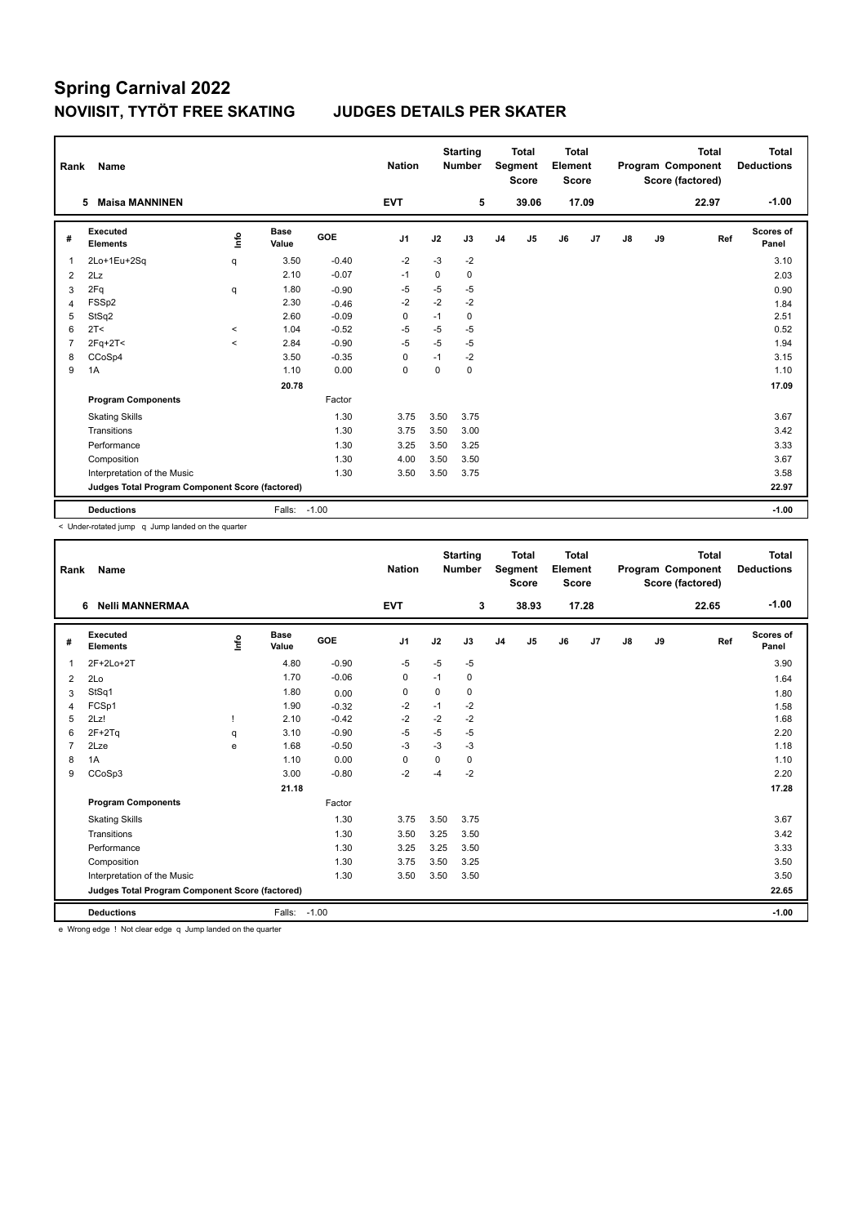| Rank           | <b>Name</b>                                     |             |                      |            | <b>Nation</b>  |          | <b>Starting</b><br><b>Number</b> |                | <b>Total</b><br>Segment<br><b>Score</b> | <b>Total</b><br>Element<br><b>Score</b> |       |               |    | <b>Total</b><br>Program Component<br>Score (factored) | Total<br><b>Deductions</b> |
|----------------|-------------------------------------------------|-------------|----------------------|------------|----------------|----------|----------------------------------|----------------|-----------------------------------------|-----------------------------------------|-------|---------------|----|-------------------------------------------------------|----------------------------|
|                | <b>Maisa MANNINEN</b><br>5                      |             |                      |            | <b>EVT</b>     |          | 5                                |                | 39.06                                   |                                         | 17.09 |               |    | 22.97                                                 | $-1.00$                    |
| #              | Executed<br><b>Elements</b>                     | <u>info</u> | <b>Base</b><br>Value | <b>GOE</b> | J <sub>1</sub> | J2       | J3                               | J <sub>4</sub> | J5                                      | J6                                      | J7    | $\mathsf{J}8$ | J9 | Ref                                                   | <b>Scores of</b><br>Panel  |
| $\overline{1}$ | 2Lo+1Eu+2Sq                                     | q           | 3.50                 | $-0.40$    | $-2$           | $-3$     | $-2$                             |                |                                         |                                         |       |               |    |                                                       | 3.10                       |
| 2              | 2Lz                                             |             | 2.10                 | $-0.07$    | $-1$           | $\Omega$ | 0                                |                |                                         |                                         |       |               |    |                                                       | 2.03                       |
| 3              | 2Fq                                             | q           | 1.80                 | $-0.90$    | -5             | $-5$     | $-5$                             |                |                                         |                                         |       |               |    |                                                       | 0.90                       |
| 4              | FSSp2                                           |             | 2.30                 | $-0.46$    | $-2$           | $-2$     | $-2$                             |                |                                         |                                         |       |               |    |                                                       | 1.84                       |
| 5              | StSq2                                           |             | 2.60                 | $-0.09$    | $\mathbf 0$    | $-1$     | 0                                |                |                                         |                                         |       |               |    |                                                       | 2.51                       |
| 6              | 2T <                                            | $\,<\,$     | 1.04                 | $-0.52$    | -5             | $-5$     | $-5$                             |                |                                         |                                         |       |               |    |                                                       | 0.52                       |
| $\overline{7}$ | $2Fq+2T<$                                       | $\prec$     | 2.84                 | $-0.90$    | $-5$           | $-5$     | $-5$                             |                |                                         |                                         |       |               |    |                                                       | 1.94                       |
| 8              | CCoSp4                                          |             | 3.50                 | $-0.35$    | 0              | $-1$     | $-2$                             |                |                                         |                                         |       |               |    |                                                       | 3.15                       |
| 9              | 1A                                              |             | 1.10                 | 0.00       | $\mathbf 0$    | 0        | 0                                |                |                                         |                                         |       |               |    |                                                       | 1.10                       |
|                |                                                 |             | 20.78                |            |                |          |                                  |                |                                         |                                         |       |               |    |                                                       | 17.09                      |
|                | <b>Program Components</b>                       |             |                      | Factor     |                |          |                                  |                |                                         |                                         |       |               |    |                                                       |                            |
|                | <b>Skating Skills</b>                           |             |                      | 1.30       | 3.75           | 3.50     | 3.75                             |                |                                         |                                         |       |               |    |                                                       | 3.67                       |
|                | Transitions                                     |             |                      | 1.30       | 3.75           | 3.50     | 3.00                             |                |                                         |                                         |       |               |    |                                                       | 3.42                       |
|                | Performance                                     |             |                      | 1.30       | 3.25           | 3.50     | 3.25                             |                |                                         |                                         |       |               |    |                                                       | 3.33                       |
|                | Composition                                     |             |                      | 1.30       | 4.00           | 3.50     | 3.50                             |                |                                         |                                         |       |               |    |                                                       | 3.67                       |
|                | Interpretation of the Music                     |             |                      | 1.30       | 3.50           | 3.50     | 3.75                             |                |                                         |                                         |       |               |    |                                                       | 3.58                       |
|                | Judges Total Program Component Score (factored) |             |                      |            |                |          |                                  |                |                                         |                                         |       |               |    |                                                       | 22.97                      |
|                | <b>Deductions</b>                               |             | Falls: -1.00         |            |                |          |                                  |                |                                         |                                         |       |               |    |                                                       | $-1.00$                    |

< Under-rotated jump q Jump landed on the quarter

| Rank           | Name                                            |      |                      |         | <b>Nation</b>  |      | <b>Starting</b><br><b>Number</b> |                | <b>Total</b><br><b>Segment</b><br><b>Score</b> | <b>Total</b><br>Element<br><b>Score</b> |       |               |    | <b>Total</b><br>Program Component<br>Score (factored) | <b>Total</b><br><b>Deductions</b> |
|----------------|-------------------------------------------------|------|----------------------|---------|----------------|------|----------------------------------|----------------|------------------------------------------------|-----------------------------------------|-------|---------------|----|-------------------------------------------------------|-----------------------------------|
|                | <b>Nelli MANNERMAA</b><br>6                     |      |                      |         | <b>EVT</b>     |      | 3                                |                | 38.93                                          |                                         | 17.28 |               |    | 22.65                                                 | $-1.00$                           |
| #              | Executed<br><b>Elements</b>                     | ١nf٥ | <b>Base</b><br>Value | GOE     | J <sub>1</sub> | J2   | J3                               | J <sub>4</sub> | J5                                             | J6                                      | J7    | $\mathsf{J}8$ | J9 | Ref                                                   | <b>Scores of</b><br>Panel         |
| 1              | 2F+2Lo+2T                                       |      | 4.80                 | $-0.90$ | $-5$           | $-5$ | $-5$                             |                |                                                |                                         |       |               |    |                                                       | 3.90                              |
| 2              | 2Lo                                             |      | 1.70                 | $-0.06$ | 0              | $-1$ | 0                                |                |                                                |                                         |       |               |    |                                                       | 1.64                              |
| 3              | StSq1                                           |      | 1.80                 | 0.00    | 0              | 0    | 0                                |                |                                                |                                         |       |               |    |                                                       | 1.80                              |
| 4              | FCSp1                                           |      | 1.90                 | $-0.32$ | $-2$           | $-1$ | $-2$                             |                |                                                |                                         |       |               |    |                                                       | 1.58                              |
| 5              | 2Lz!                                            |      | 2.10                 | $-0.42$ | $-2$           | $-2$ | $-2$                             |                |                                                |                                         |       |               |    |                                                       | 1.68                              |
| 6              | $2F+2Tq$                                        | q    | 3.10                 | $-0.90$ | $-5$           | $-5$ | $-5$                             |                |                                                |                                         |       |               |    |                                                       | 2.20                              |
| $\overline{7}$ | 2Lze                                            | e    | 1.68                 | $-0.50$ | $-3$           | $-3$ | $-3$                             |                |                                                |                                         |       |               |    |                                                       | 1.18                              |
| 8              | 1A                                              |      | 1.10                 | 0.00    | 0              | 0    | 0                                |                |                                                |                                         |       |               |    |                                                       | 1.10                              |
| 9              | CCoSp3                                          |      | 3.00                 | $-0.80$ | $-2$           | -4   | $-2$                             |                |                                                |                                         |       |               |    |                                                       | 2.20                              |
|                |                                                 |      | 21.18                |         |                |      |                                  |                |                                                |                                         |       |               |    |                                                       | 17.28                             |
|                | <b>Program Components</b>                       |      |                      | Factor  |                |      |                                  |                |                                                |                                         |       |               |    |                                                       |                                   |
|                | <b>Skating Skills</b>                           |      |                      | 1.30    | 3.75           | 3.50 | 3.75                             |                |                                                |                                         |       |               |    |                                                       | 3.67                              |
|                | Transitions                                     |      |                      | 1.30    | 3.50           | 3.25 | 3.50                             |                |                                                |                                         |       |               |    |                                                       | 3.42                              |
|                | Performance                                     |      |                      | 1.30    | 3.25           | 3.25 | 3.50                             |                |                                                |                                         |       |               |    |                                                       | 3.33                              |
|                | Composition                                     |      |                      | 1.30    | 3.75           | 3.50 | 3.25                             |                |                                                |                                         |       |               |    |                                                       | 3.50                              |
|                | Interpretation of the Music                     |      |                      | 1.30    | 3.50           | 3.50 | 3.50                             |                |                                                |                                         |       |               |    |                                                       | 3.50                              |
|                | Judges Total Program Component Score (factored) |      |                      |         |                |      |                                  |                |                                                |                                         |       |               |    |                                                       | 22.65                             |
|                | <b>Deductions</b>                               |      | Falls:               | $-1.00$ |                |      |                                  |                |                                                |                                         |       |               |    |                                                       | $-1.00$                           |

e Wrong edge ! Not clear edge q Jump landed on the quarter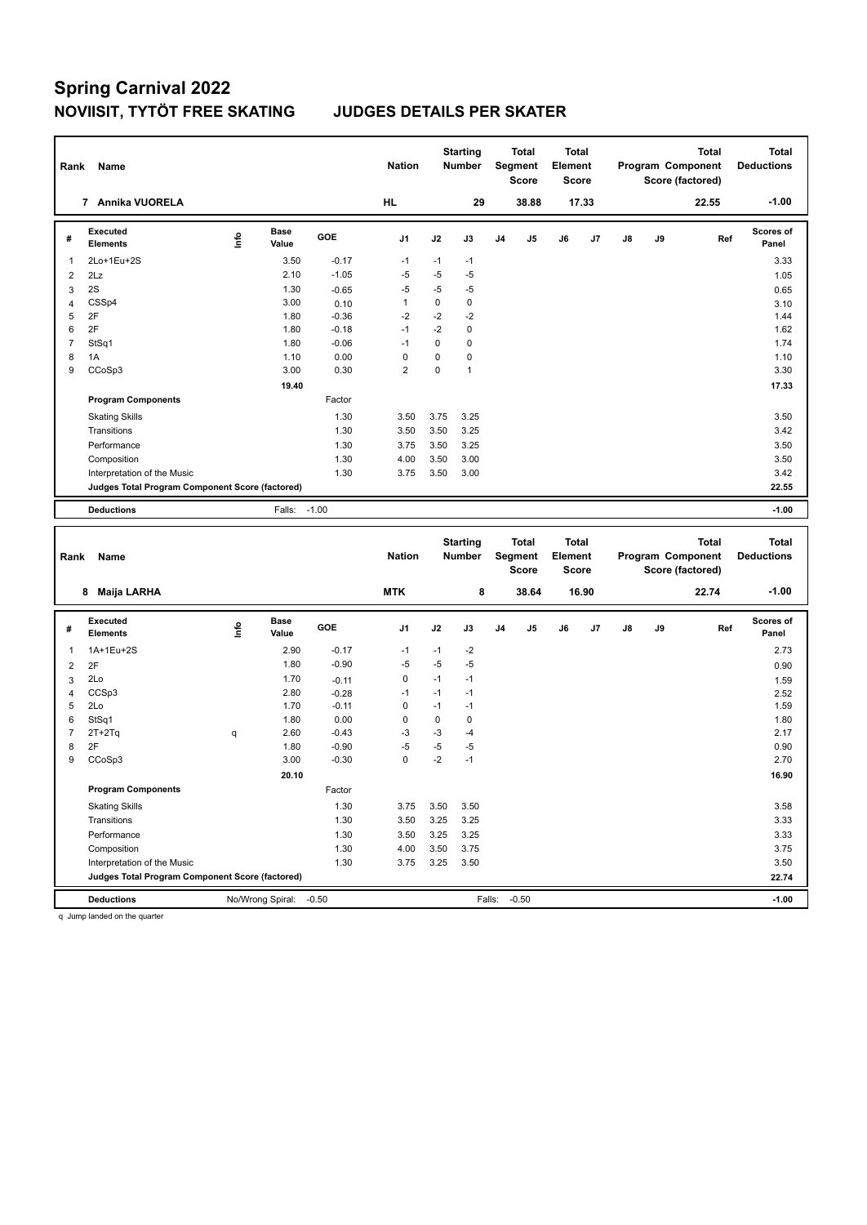| Rank           | Name                                            |      |                      |         | <b>Nation</b>  |          | <b>Starting</b><br><b>Number</b> | <b>Total</b><br>Segment<br><b>Score</b>        |       | <b>Total</b><br>Element<br><b>Score</b> |    |    |    | <b>Total</b><br>Program Component<br>Score (factored) | <b>Total</b><br><b>Deductions</b> |
|----------------|-------------------------------------------------|------|----------------------|---------|----------------|----------|----------------------------------|------------------------------------------------|-------|-----------------------------------------|----|----|----|-------------------------------------------------------|-----------------------------------|
|                | 7 Annika VUORELA                                |      |                      |         | <b>HL</b>      |          | 29                               |                                                | 38.88 | 17.33                                   |    |    |    | 22.55                                                 | $-1.00$                           |
| #              | Executed<br><b>Elements</b>                     | ١rfo | <b>Base</b><br>Value | GOE     | J <sub>1</sub> | J2       | J3                               | J4                                             | J5    | J6                                      | J7 | J8 | J9 | Ref                                                   | Scores of<br>Panel                |
| 1              | 2Lo+1Eu+2S                                      |      | 3.50                 | $-0.17$ | $-1$           | $-1$     | $-1$                             |                                                |       |                                         |    |    |    |                                                       | 3.33                              |
| $\overline{2}$ | 2Lz                                             |      | 2.10                 | $-1.05$ | $-5$           | $-5$     | $-5$                             |                                                |       |                                         |    |    |    |                                                       | 1.05                              |
| 3              | 2S                                              |      | 1.30                 | $-0.65$ | $-5$           | $-5$     | $-5$                             |                                                |       |                                         |    |    |    |                                                       | 0.65                              |
| 4              | CSSp4                                           |      | 3.00                 | 0.10    | 1              | $\Omega$ | $\mathbf 0$                      |                                                |       |                                         |    |    |    |                                                       | 3.10                              |
| 5              | 2F                                              |      | 1.80                 | $-0.36$ | $-2$           | $-2$     | $-2$                             |                                                |       |                                         |    |    |    |                                                       | 1.44                              |
| 6              | 2F                                              |      | 1.80                 | $-0.18$ | $-1$           | $-2$     | $\mathbf 0$                      |                                                |       |                                         |    |    |    |                                                       | 1.62                              |
| $\overline{7}$ | StSq1                                           |      | 1.80                 | $-0.06$ | $-1$           | 0        | $\mathbf 0$                      |                                                |       |                                         |    |    |    |                                                       | 1.74                              |
| 8              | 1A                                              |      | 1.10                 | 0.00    | 0              | 0        | $\mathbf 0$                      |                                                |       |                                         |    |    |    |                                                       | 1.10                              |
| 9              | CCoSp3                                          |      | 3.00                 | 0.30    | $\overline{2}$ | 0        | $\mathbf{1}$                     |                                                |       |                                         |    |    |    |                                                       | 3.30                              |
|                |                                                 |      | 19.40                |         |                |          |                                  |                                                |       |                                         |    |    |    |                                                       | 17.33                             |
|                | <b>Program Components</b>                       |      |                      | Factor  |                |          |                                  |                                                |       |                                         |    |    |    |                                                       |                                   |
|                | <b>Skating Skills</b>                           |      |                      | 1.30    | 3.50           | 3.75     | 3.25                             |                                                |       |                                         |    |    |    |                                                       | 3.50                              |
|                | Transitions                                     |      |                      | 1.30    | 3.50           | 3.50     | 3.25                             |                                                |       |                                         |    |    |    |                                                       | 3.42                              |
|                | Performance                                     |      |                      | 1.30    | 3.75           | 3.50     | 3.25                             |                                                |       |                                         |    |    |    |                                                       | 3.50                              |
|                | Composition                                     |      |                      | 1.30    | 4.00           | 3.50     | 3.00                             |                                                |       |                                         |    |    |    |                                                       | 3.50                              |
|                | Interpretation of the Music                     |      |                      | 1.30    | 3.75           | 3.50     | 3.00                             |                                                |       |                                         |    |    |    |                                                       | 3.42                              |
|                | Judges Total Program Component Score (factored) |      |                      |         |                |          |                                  |                                                |       |                                         |    |    |    |                                                       | 22.55                             |
|                | <b>Deductions</b>                               |      | Falls:               | $-1.00$ |                |          |                                  |                                                |       |                                         |    |    |    |                                                       | $-1.00$                           |
|                |                                                 |      |                      |         |                |          |                                  |                                                |       |                                         |    |    |    |                                                       |                                   |
| Rank           | Name                                            |      |                      |         | <b>Nation</b>  |          | <b>Starting</b><br><b>Number</b> | <b>Total</b><br><b>Segment</b><br><b>Score</b> |       | <b>Total</b><br>Element<br><b>Score</b> |    |    |    | <b>Total</b><br>Program Component<br>Score (factored) | <b>Total</b><br><b>Deductions</b> |

|                | Maija LARHA<br>8                                |         |                      |            | <b>MTK</b>     |             | 8           |                | 38.64          |    | 16.90 |               |         | 22.74 | $-1.00$                   |
|----------------|-------------------------------------------------|---------|----------------------|------------|----------------|-------------|-------------|----------------|----------------|----|-------|---------------|---------|-------|---------------------------|
| #              | Executed<br><b>Elements</b>                     | ١nf٥    | <b>Base</b><br>Value | <b>GOE</b> | J <sub>1</sub> | J2          | J3          | J <sub>4</sub> | J <sub>5</sub> | J6 | J7    | $\mathsf{J}8$ | J9      | Ref   | <b>Scores of</b><br>Panel |
| $\overline{1}$ | 1A+1Eu+2S                                       |         | 2.90                 | $-0.17$    | $-1$           | $-1$        | $-2$        |                |                |    |       |               |         |       | 2.73                      |
| $\overline{2}$ | 2F                                              |         | 1.80                 | $-0.90$    | $-5$           | $-5$        | $-5$        |                |                |    |       |               |         |       | 0.90                      |
| 3              | 2Lo                                             |         | 1.70                 | $-0.11$    | $\mathbf 0$    | $-1$        | $-1$        |                |                |    |       |               |         |       | 1.59                      |
| 4              | CCSp3                                           |         | 2.80                 | $-0.28$    | $-1$           | $-1$        | $-1$        |                |                |    |       |               |         |       | 2.52                      |
| 5              | 2Lo                                             |         | 1.70                 | $-0.11$    | $\Omega$       | $-1$        | $-1$        |                |                |    |       |               |         |       | 1.59                      |
| 6              | StSq1                                           |         | 1.80                 | 0.00       | 0              | $\mathbf 0$ | $\mathbf 0$ |                |                |    |       |               |         |       | 1.80                      |
| $\overline{7}$ | $2T+2Tq$                                        | q       | 2.60                 | $-0.43$    | $-3$           | $-3$        | -4          |                |                |    |       |               |         |       | 2.17                      |
| 8              | 2F                                              |         | 1.80                 | $-0.90$    | $-5$           | -5          | $-5$        |                |                |    |       |               |         |       | 0.90                      |
| 9              | CCoSp3                                          |         | 3.00                 | $-0.30$    | 0              | $-2$        | $-1$        |                |                |    |       |               |         |       | 2.70                      |
|                |                                                 |         | 20.10                |            |                |             |             |                |                |    |       |               |         |       | 16.90                     |
|                | <b>Program Components</b>                       |         |                      | Factor     |                |             |             |                |                |    |       |               |         |       |                           |
|                | <b>Skating Skills</b>                           |         |                      | 1.30       | 3.75           | 3.50        | 3.50        |                |                |    |       |               |         |       | 3.58                      |
|                | Transitions                                     |         |                      | 1.30       | 3.50           | 3.25        | 3.25        |                |                |    |       |               |         |       | 3.33                      |
|                | Performance                                     |         |                      | 1.30       | 3.50           | 3.25        | 3.25        |                |                |    |       |               |         |       | 3.33                      |
|                | Composition                                     |         |                      | 1.30       | 4.00           | 3.50        | 3.75        |                |                |    |       |               |         |       | 3.75                      |
|                | Interpretation of the Music                     |         |                      | 1.30       | 3.75           | 3.25        | 3.50        |                |                |    |       |               |         |       | 3.50                      |
|                | Judges Total Program Component Score (factored) |         |                      |            |                |             |             |                |                |    |       |               | 22.74   |       |                           |
|                | <b>Deductions</b>                               | $-0.50$ |                      |            |                | Falls:      | $-0.50$     |                |                |    |       |               | $-1.00$ |       |                           |

q Jump landed on the quarter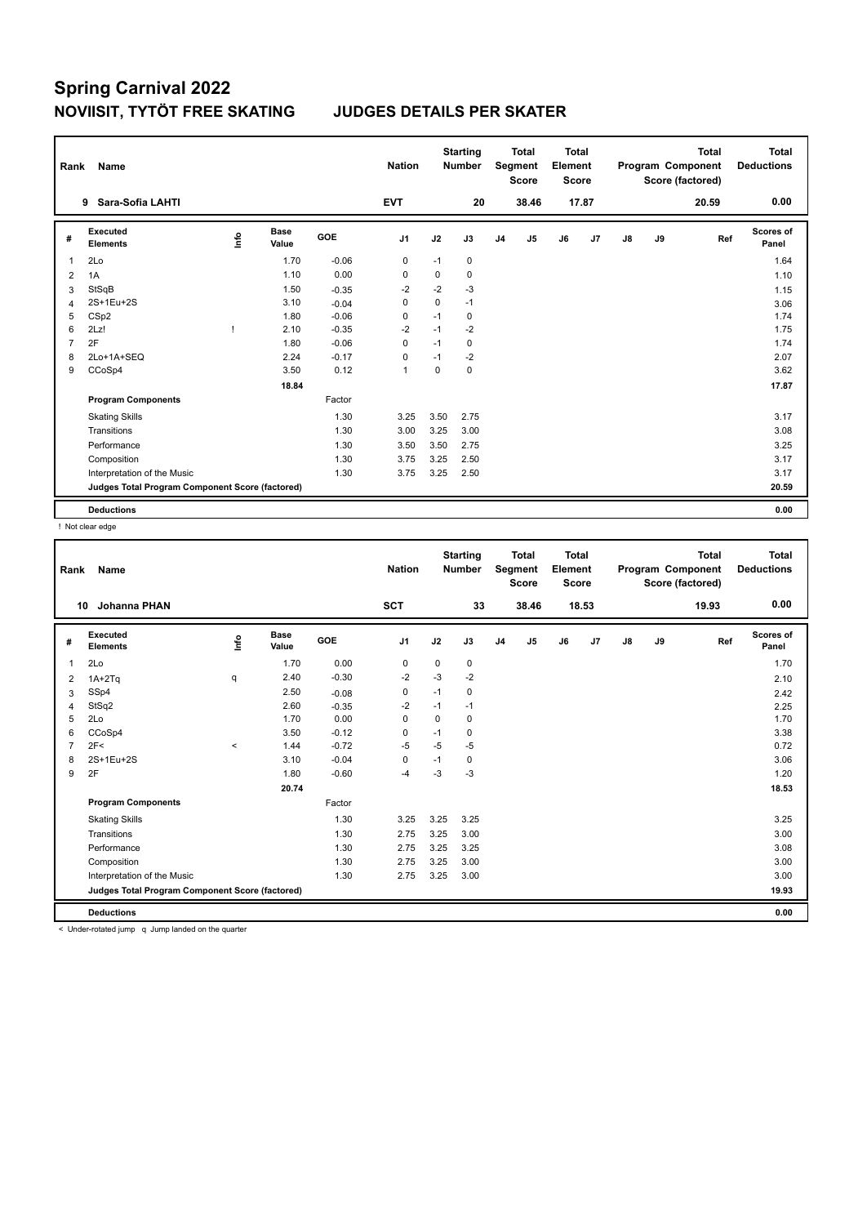| Rank           | <b>Name</b>                                     |    |                      |         | <b>Nation</b>  |             | <b>Starting</b><br><b>Number</b> |                | <b>Total</b><br>Segment<br><b>Score</b> | <b>Total</b><br>Element<br><b>Score</b> |       |               |    | <b>Total</b><br>Program Component<br>Score (factored) | Total<br><b>Deductions</b> |
|----------------|-------------------------------------------------|----|----------------------|---------|----------------|-------------|----------------------------------|----------------|-----------------------------------------|-----------------------------------------|-------|---------------|----|-------------------------------------------------------|----------------------------|
|                | Sara-Sofia LAHTI<br>9                           |    |                      |         | <b>EVT</b>     |             | 20                               |                | 38.46                                   |                                         | 17.87 |               |    | 20.59                                                 | 0.00                       |
| #              | Executed<br><b>Elements</b>                     | ۴٥ | <b>Base</b><br>Value | GOE     | J <sub>1</sub> | J2          | J3                               | J <sub>4</sub> | J5                                      | J6                                      | J7    | $\mathsf{J}8$ | J9 | Ref                                                   | <b>Scores of</b><br>Panel  |
| $\overline{1}$ | 2Lo                                             |    | 1.70                 | $-0.06$ | 0              | $-1$        | 0                                |                |                                         |                                         |       |               |    |                                                       | 1.64                       |
| 2              | 1A                                              |    | 1.10                 | 0.00    | 0              | 0           | 0                                |                |                                         |                                         |       |               |    |                                                       | 1.10                       |
| 3              | StSqB                                           |    | 1.50                 | $-0.35$ | $-2$           | $-2$        | $-3$                             |                |                                         |                                         |       |               |    |                                                       | 1.15                       |
| $\overline{4}$ | 2S+1Eu+2S                                       |    | 3.10                 | $-0.04$ | 0              | $\mathbf 0$ | $-1$                             |                |                                         |                                         |       |               |    |                                                       | 3.06                       |
| 5              | CS <sub>p2</sub>                                |    | 1.80                 | $-0.06$ | 0              | $-1$        | 0                                |                |                                         |                                         |       |               |    |                                                       | 1.74                       |
| 6              | 2Lz!                                            |    | 2.10                 | $-0.35$ | $-2$           | $-1$        | $-2$                             |                |                                         |                                         |       |               |    |                                                       | 1.75                       |
| $\overline{7}$ | 2F                                              |    | 1.80                 | $-0.06$ | 0              | $-1$        | 0                                |                |                                         |                                         |       |               |    |                                                       | 1.74                       |
| 8              | 2Lo+1A+SEQ                                      |    | 2.24                 | $-0.17$ | 0              | $-1$        | $-2$                             |                |                                         |                                         |       |               |    |                                                       | 2.07                       |
| 9              | CCoSp4                                          |    | 3.50                 | 0.12    | $\mathbf{1}$   | $\Omega$    | 0                                |                |                                         |                                         |       |               |    |                                                       | 3.62                       |
|                |                                                 |    | 18.84                |         |                |             |                                  |                |                                         |                                         |       |               |    |                                                       | 17.87                      |
|                | <b>Program Components</b>                       |    |                      | Factor  |                |             |                                  |                |                                         |                                         |       |               |    |                                                       |                            |
|                | <b>Skating Skills</b>                           |    |                      | 1.30    | 3.25           | 3.50        | 2.75                             |                |                                         |                                         |       |               |    |                                                       | 3.17                       |
|                | Transitions                                     |    |                      | 1.30    | 3.00           | 3.25        | 3.00                             |                |                                         |                                         |       |               |    |                                                       | 3.08                       |
|                | Performance                                     |    |                      | 1.30    | 3.50           | 3.50        | 2.75                             |                |                                         |                                         |       |               |    |                                                       | 3.25                       |
|                | Composition                                     |    |                      | 1.30    | 3.75           | 3.25        | 2.50                             |                |                                         |                                         |       |               |    |                                                       | 3.17                       |
|                | Interpretation of the Music                     |    |                      | 1.30    | 3.75           | 3.25        | 2.50                             |                |                                         |                                         |       |               |    |                                                       | 3.17                       |
|                | Judges Total Program Component Score (factored) |    |                      |         |                |             |                                  |                |                                         |                                         |       |               |    |                                                       | 20.59                      |
|                | <b>Deductions</b>                               |    |                      |         |                |             |                                  |                |                                         |                                         |       |               |    |                                                       | 0.00                       |

! Not clear edge

| Rank           | Name                                                           |         |                      |         | <b>Nation</b> |             | <b>Starting</b><br><b>Number</b> |                | <b>Total</b><br>Segment<br><b>Score</b> | <b>Total</b><br>Element<br><b>Score</b> |       |    |    | <b>Total</b><br>Program Component<br>Score (factored) | Total<br><b>Deductions</b> |
|----------------|----------------------------------------------------------------|---------|----------------------|---------|---------------|-------------|----------------------------------|----------------|-----------------------------------------|-----------------------------------------|-------|----|----|-------------------------------------------------------|----------------------------|
| 10             | Johanna PHAN                                                   |         |                      |         | <b>SCT</b>    |             | 33                               |                | 38.46                                   |                                         | 18.53 |    |    | 19.93                                                 | 0.00                       |
| #              | <b>Executed</b><br><b>Elements</b>                             | ١nf٥    | <b>Base</b><br>Value | GOE     | J1            | J2          | J3                               | J <sub>4</sub> | J5                                      | J6                                      | J7    | J8 | J9 | Ref                                                   | <b>Scores of</b><br>Panel  |
| 1              | 2Lo                                                            |         | 1.70                 | 0.00    | 0             | 0           | 0                                |                |                                         |                                         |       |    |    |                                                       | 1.70                       |
| 2              | $1A+2Tq$                                                       | q       | 2.40                 | $-0.30$ | $-2$          | $-3$        | $-2$                             |                |                                         |                                         |       |    |    |                                                       | 2.10                       |
| 3              | SSp4                                                           |         | 2.50                 | $-0.08$ | 0             | $-1$        | 0                                |                |                                         |                                         |       |    |    |                                                       | 2.42                       |
| $\overline{4}$ | StSq2                                                          |         | 2.60                 | $-0.35$ | $-2$          | $-1$        | $-1$                             |                |                                         |                                         |       |    |    |                                                       | 2.25                       |
| 5              | 2Lo                                                            |         | 1.70                 | 0.00    | $\mathbf 0$   | $\mathbf 0$ | $\mathbf 0$                      |                |                                         |                                         |       |    |    |                                                       | 1.70                       |
| 6              | CCoSp4                                                         |         | 3.50                 | $-0.12$ | 0             | $-1$        | 0                                |                |                                         |                                         |       |    |    |                                                       | 3.38                       |
| $\overline{7}$ | 2F<                                                            | $\prec$ | 1.44                 | $-0.72$ | $-5$          | $-5$        | $-5$                             |                |                                         |                                         |       |    |    |                                                       | 0.72                       |
| 8              | 2S+1Eu+2S                                                      |         | 3.10                 | $-0.04$ | $\mathbf 0$   | $-1$        | 0                                |                |                                         |                                         |       |    |    |                                                       | 3.06                       |
| 9              | 2F                                                             |         | 1.80                 | $-0.60$ | $-4$          | $-3$        | $-3$                             |                |                                         |                                         |       |    |    |                                                       | 1.20                       |
|                |                                                                |         | 20.74                |         |               |             |                                  |                |                                         |                                         |       |    |    |                                                       | 18.53                      |
|                | <b>Program Components</b>                                      |         |                      | Factor  |               |             |                                  |                |                                         |                                         |       |    |    |                                                       |                            |
|                | <b>Skating Skills</b>                                          |         |                      | 1.30    | 3.25          | 3.25        | 3.25                             |                |                                         |                                         |       |    |    |                                                       | 3.25                       |
|                | Transitions                                                    |         |                      | 1.30    | 2.75          | 3.25        | 3.00                             |                |                                         |                                         |       |    |    |                                                       | 3.00                       |
|                | Performance                                                    |         |                      | 1.30    | 2.75          | 3.25        | 3.25                             |                |                                         |                                         |       |    |    |                                                       | 3.08                       |
|                | Composition                                                    |         |                      | 1.30    | 2.75          | 3.25        | 3.00                             |                |                                         |                                         |       |    |    |                                                       | 3.00                       |
|                | Interpretation of the Music                                    |         |                      | 1.30    | 2.75          | 3.25        | 3.00                             |                |                                         |                                         |       |    |    |                                                       | 3.00                       |
|                | Judges Total Program Component Score (factored)                |         |                      |         |               |             |                                  |                |                                         |                                         |       |    |    |                                                       | 19.93                      |
|                | <b>Deductions</b>                                              |         |                      |         |               |             |                                  |                |                                         |                                         |       |    |    |                                                       | 0.00                       |
|                | $\geq$ Under retated jump. $\alpha$ Jump landed on the quarter |         |                      |         |               |             |                                  |                |                                         |                                         |       |    |    |                                                       |                            |

< Under-rotated jump q Jump landed on the quarter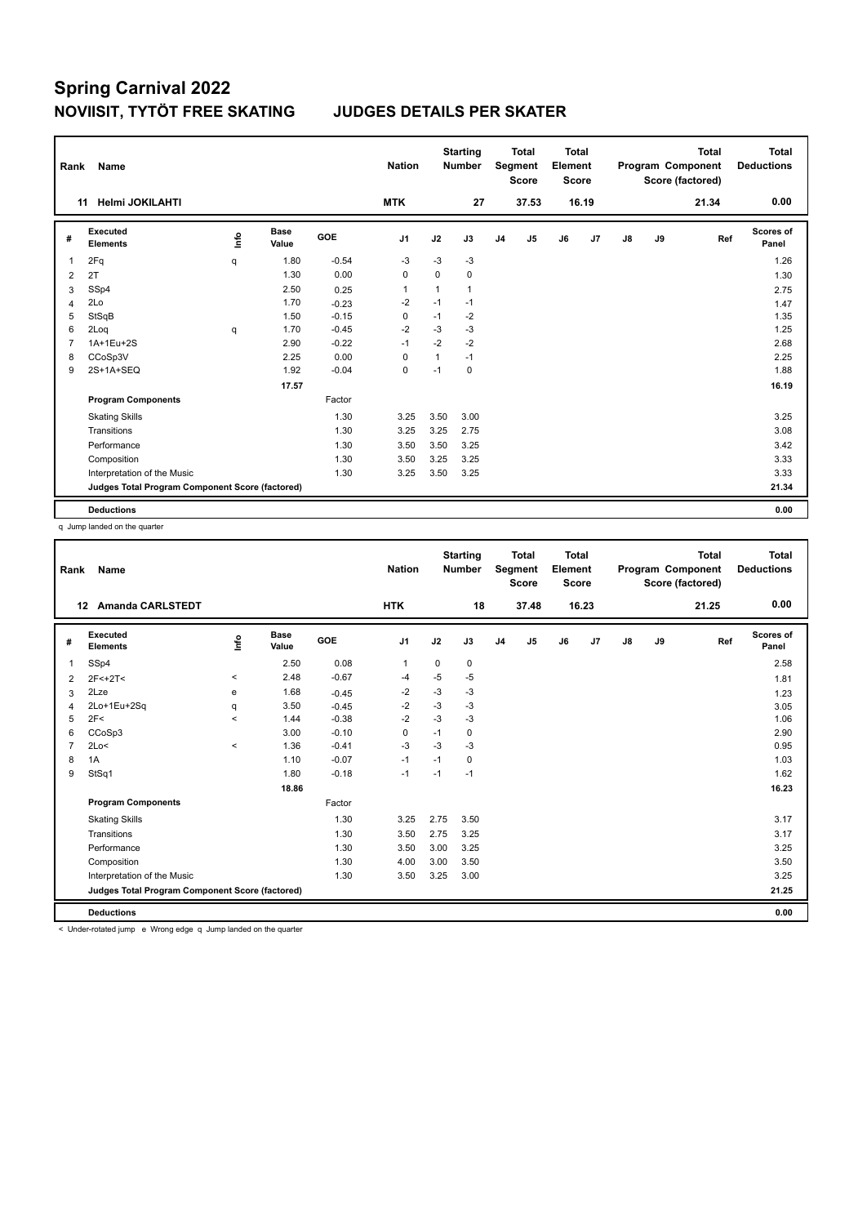| Rank           | <b>Name</b>                                     |      |                      |         | <b>Nation</b>  |              | <b>Starting</b><br><b>Number</b> |                | <b>Total</b><br>Segment<br><b>Score</b> | <b>Total</b><br>Element<br><b>Score</b> |       |               |    | <b>Total</b><br>Program Component<br>Score (factored) | <b>Total</b><br><b>Deductions</b> |
|----------------|-------------------------------------------------|------|----------------------|---------|----------------|--------------|----------------------------------|----------------|-----------------------------------------|-----------------------------------------|-------|---------------|----|-------------------------------------------------------|-----------------------------------|
|                | <b>Helmi JOKILAHTI</b><br>11                    |      |                      |         | <b>MTK</b>     |              | 27                               |                | 37.53                                   |                                         | 16.19 |               |    | 21.34                                                 | 0.00                              |
| #              | Executed<br><b>Elements</b>                     | lnfo | <b>Base</b><br>Value | GOE     | J <sub>1</sub> | J2           | J3                               | J <sub>4</sub> | J5                                      | J6                                      | J7    | $\mathsf{J}8$ | J9 | Ref                                                   | <b>Scores of</b><br>Panel         |
| $\overline{1}$ | 2Fq                                             | q    | 1.80                 | $-0.54$ | -3             | -3           | $-3$                             |                |                                         |                                         |       |               |    |                                                       | 1.26                              |
| 2              | 2T                                              |      | 1.30                 | 0.00    | 0              | 0            | 0                                |                |                                         |                                         |       |               |    |                                                       | 1.30                              |
| 3              | SSp4                                            |      | 2.50                 | 0.25    | $\mathbf{1}$   | 1            | 1                                |                |                                         |                                         |       |               |    |                                                       | 2.75                              |
| $\overline{4}$ | 2Lo                                             |      | 1.70                 | $-0.23$ | $-2$           | $-1$         | $-1$                             |                |                                         |                                         |       |               |    |                                                       | 1.47                              |
| 5              | StSqB                                           |      | 1.50                 | $-0.15$ | 0              | $-1$         | $-2$                             |                |                                         |                                         |       |               |    |                                                       | 1.35                              |
| 6              | 2Log                                            | q    | 1.70                 | $-0.45$ | $-2$           | $-3$         | $-3$                             |                |                                         |                                         |       |               |    |                                                       | 1.25                              |
| $\overline{7}$ | 1A+1Eu+2S                                       |      | 2.90                 | $-0.22$ | $-1$           | $-2$         | $-2$                             |                |                                         |                                         |       |               |    |                                                       | 2.68                              |
| 8              | CCoSp3V                                         |      | 2.25                 | 0.00    | 0              | $\mathbf{1}$ | $-1$                             |                |                                         |                                         |       |               |    |                                                       | 2.25                              |
| 9              | 2S+1A+SEQ                                       |      | 1.92                 | $-0.04$ | $\mathbf 0$    | $-1$         | 0                                |                |                                         |                                         |       |               |    |                                                       | 1.88                              |
|                |                                                 |      | 17.57                |         |                |              |                                  |                |                                         |                                         |       |               |    |                                                       | 16.19                             |
|                | <b>Program Components</b>                       |      |                      | Factor  |                |              |                                  |                |                                         |                                         |       |               |    |                                                       |                                   |
|                | <b>Skating Skills</b>                           |      |                      | 1.30    | 3.25           | 3.50         | 3.00                             |                |                                         |                                         |       |               |    |                                                       | 3.25                              |
|                | Transitions                                     |      |                      | 1.30    | 3.25           | 3.25         | 2.75                             |                |                                         |                                         |       |               |    |                                                       | 3.08                              |
|                | Performance                                     |      |                      | 1.30    | 3.50           | 3.50         | 3.25                             |                |                                         |                                         |       |               |    |                                                       | 3.42                              |
|                | Composition                                     |      |                      | 1.30    | 3.50           | 3.25         | 3.25                             |                |                                         |                                         |       |               |    |                                                       | 3.33                              |
|                | Interpretation of the Music                     |      |                      | 1.30    | 3.25           | 3.50         | 3.25                             |                |                                         |                                         |       |               |    |                                                       | 3.33                              |
|                | Judges Total Program Component Score (factored) |      |                      |         |                |              |                                  |                |                                         |                                         |       |               |    |                                                       | 21.34                             |
|                | <b>Deductions</b>                               |      |                      |         |                |              |                                  |                |                                         |                                         |       |               |    |                                                       | 0.00                              |

q Jump landed on the quarter

| Rank           | Name                                            |                          |               |         | <b>Nation</b>  |             | <b>Starting</b><br><b>Number</b> |                | <b>Total</b><br>Segment<br><b>Score</b> | <b>Total</b><br>Element<br><b>Score</b> |       |               |    | <b>Total</b><br>Program Component<br>Score (factored) | Total<br><b>Deductions</b> |
|----------------|-------------------------------------------------|--------------------------|---------------|---------|----------------|-------------|----------------------------------|----------------|-----------------------------------------|-----------------------------------------|-------|---------------|----|-------------------------------------------------------|----------------------------|
|                | <b>Amanda CARLSTEDT</b><br>12                   |                          |               |         | <b>HTK</b>     |             | 18                               |                | 37.48                                   |                                         | 16.23 |               |    | 21.25                                                 | 0.00                       |
| #              | Executed<br><b>Elements</b>                     | ١nf٥                     | Base<br>Value | GOE     | J <sub>1</sub> | J2          | J3                               | J <sub>4</sub> | J5                                      | J6                                      | J7    | $\mathsf{J}8$ | J9 | Ref                                                   | Scores of<br>Panel         |
| 1              | SSp4                                            |                          | 2.50          | 0.08    | $\mathbf{1}$   | $\mathbf 0$ | $\mathbf 0$                      |                |                                         |                                         |       |               |    |                                                       | 2.58                       |
| $\overline{2}$ | $2F<+2T<$                                       | $\hat{~}$                | 2.48          | $-0.67$ | $-4$           | $-5$        | $-5$                             |                |                                         |                                         |       |               |    |                                                       | 1.81                       |
| 3              | 2Lze                                            | e                        | 1.68          | $-0.45$ | $-2$           | $-3$        | $-3$                             |                |                                         |                                         |       |               |    |                                                       | 1.23                       |
| $\overline{4}$ | 2Lo+1Eu+2Sq                                     | q                        | 3.50          | $-0.45$ | $-2$           | $-3$        | $-3$                             |                |                                         |                                         |       |               |    |                                                       | 3.05                       |
| 5              | 2F<                                             | $\overline{\phantom{0}}$ | 1.44          | $-0.38$ | $-2$           | $-3$        | $-3$                             |                |                                         |                                         |       |               |    |                                                       | 1.06                       |
| 6              | CCoSp3                                          |                          | 3.00          | $-0.10$ | 0              | $-1$        | 0                                |                |                                         |                                         |       |               |    |                                                       | 2.90                       |
| 7              | 2Lo<                                            | $\hat{}$                 | 1.36          | $-0.41$ | $-3$           | $-3$        | $-3$                             |                |                                         |                                         |       |               |    |                                                       | 0.95                       |
| 8              | 1A                                              |                          | 1.10          | $-0.07$ | $-1$           | $-1$        | $\mathbf 0$                      |                |                                         |                                         |       |               |    |                                                       | 1.03                       |
| 9              | StSq1                                           |                          | 1.80          | $-0.18$ | $-1$           | $-1$        | $-1$                             |                |                                         |                                         |       |               |    |                                                       | 1.62                       |
|                |                                                 |                          | 18.86         |         |                |             |                                  |                |                                         |                                         |       |               |    |                                                       | 16.23                      |
|                | <b>Program Components</b>                       |                          |               | Factor  |                |             |                                  |                |                                         |                                         |       |               |    |                                                       |                            |
|                | <b>Skating Skills</b>                           |                          |               | 1.30    | 3.25           | 2.75        | 3.50                             |                |                                         |                                         |       |               |    |                                                       | 3.17                       |
|                | Transitions                                     |                          |               | 1.30    | 3.50           | 2.75        | 3.25                             |                |                                         |                                         |       |               |    |                                                       | 3.17                       |
|                | Performance                                     |                          |               | 1.30    | 3.50           | 3.00        | 3.25                             |                |                                         |                                         |       |               |    |                                                       | 3.25                       |
|                | Composition                                     |                          |               | 1.30    | 4.00           | 3.00        | 3.50                             |                |                                         |                                         |       |               |    |                                                       | 3.50                       |
|                | Interpretation of the Music                     |                          |               | 1.30    | 3.50           | 3.25        | 3.00                             |                |                                         |                                         |       |               |    |                                                       | 3.25                       |
|                | Judges Total Program Component Score (factored) |                          |               |         |                |             |                                  |                |                                         |                                         |       |               |    |                                                       | 21.25                      |
|                | <b>Deductions</b>                               |                          |               |         |                |             |                                  |                |                                         |                                         |       |               |    |                                                       | 0.00                       |

< Under-rotated jump e Wrong edge q Jump landed on the quarter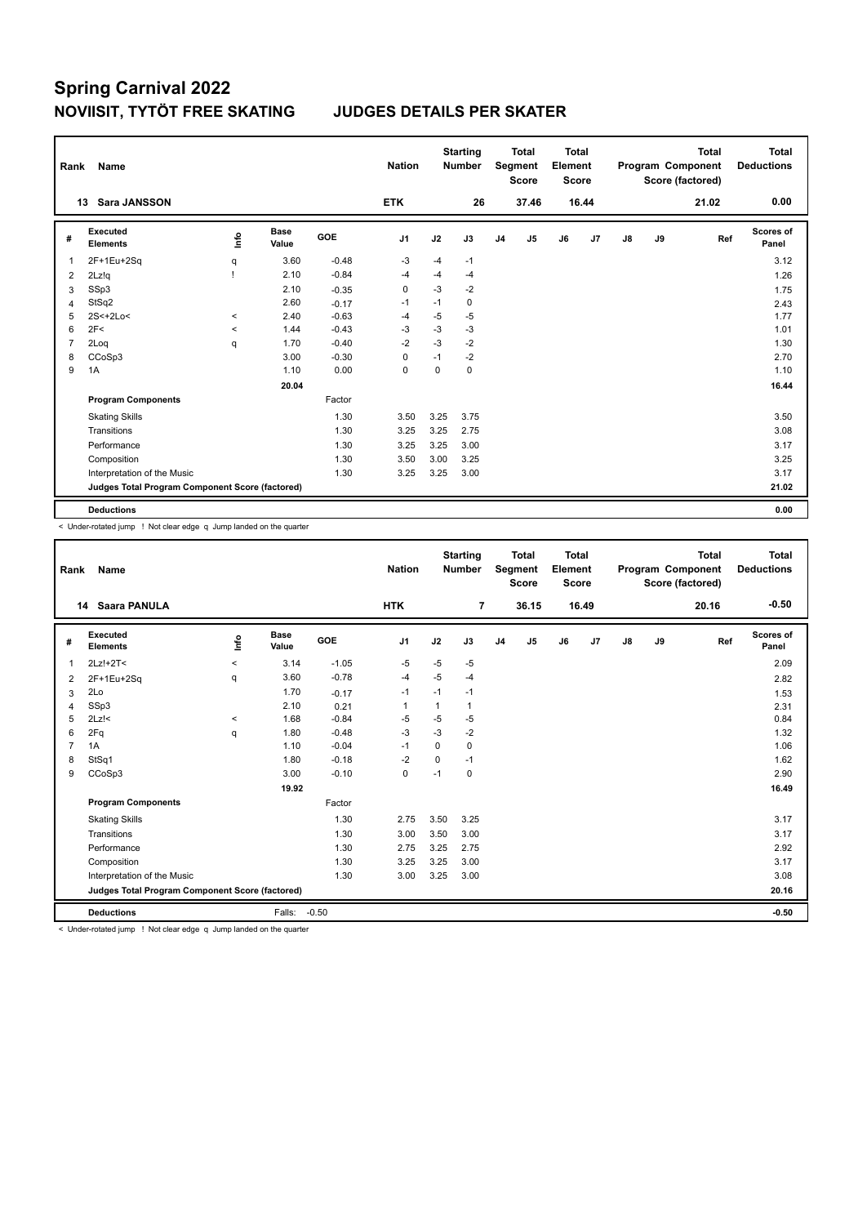| Rank           | <b>Name</b>                                     |         |                      |         | <b>Nation</b>  |          | <b>Starting</b><br><b>Number</b> |                | <b>Total</b><br>Segment<br><b>Score</b> | <b>Total</b><br>Element<br><b>Score</b> |                |               |    | <b>Total</b><br>Program Component<br>Score (factored) | <b>Total</b><br><b>Deductions</b> |
|----------------|-------------------------------------------------|---------|----------------------|---------|----------------|----------|----------------------------------|----------------|-----------------------------------------|-----------------------------------------|----------------|---------------|----|-------------------------------------------------------|-----------------------------------|
|                | <b>Sara JANSSON</b><br>13                       |         |                      |         | <b>ETK</b>     |          | 26                               |                | 37.46                                   |                                         | 16.44          |               |    | 21.02                                                 | 0.00                              |
| #              | Executed<br><b>Elements</b>                     | info    | <b>Base</b><br>Value | GOE     | J <sub>1</sub> | J2       | J3                               | J <sub>4</sub> | J5                                      | J6                                      | J <sub>7</sub> | $\mathsf{J}8$ | J9 | Ref                                                   | Scores of<br>Panel                |
| $\overline{1}$ | 2F+1Eu+2Sq                                      | q       | 3.60                 | $-0.48$ | -3             | $-4$     | $-1$                             |                |                                         |                                         |                |               |    |                                                       | 3.12                              |
| 2              | 2Lz!q                                           |         | 2.10                 | $-0.84$ | -4             | $-4$     | $-4$                             |                |                                         |                                         |                |               |    |                                                       | 1.26                              |
| 3              | SSp3                                            |         | 2.10                 | $-0.35$ | 0              | $-3$     | $-2$                             |                |                                         |                                         |                |               |    |                                                       | 1.75                              |
| $\overline{4}$ | StSq2                                           |         | 2.60                 | $-0.17$ | $-1$           | $-1$     | 0                                |                |                                         |                                         |                |               |    |                                                       | 2.43                              |
| 5              | $2S<+2Lo<$                                      | $\prec$ | 2.40                 | $-0.63$ | $-4$           | -5       | $-5$                             |                |                                         |                                         |                |               |    |                                                       | 1.77                              |
| 6              | 2F<                                             | $\,<$   | 1.44                 | $-0.43$ | -3             | $-3$     | $-3$                             |                |                                         |                                         |                |               |    |                                                       | 1.01                              |
| $\overline{7}$ | 2Loq                                            | q       | 1.70                 | $-0.40$ | $-2$           | $-3$     | $-2$                             |                |                                         |                                         |                |               |    |                                                       | 1.30                              |
| 8              | CCoSp3                                          |         | 3.00                 | $-0.30$ | 0              | $-1$     | $-2$                             |                |                                         |                                         |                |               |    |                                                       | 2.70                              |
| 9              | 1A                                              |         | 1.10                 | 0.00    | $\mathbf 0$    | $\Omega$ | 0                                |                |                                         |                                         |                |               |    |                                                       | 1.10                              |
|                |                                                 |         | 20.04                |         |                |          |                                  |                |                                         |                                         |                |               |    |                                                       | 16.44                             |
|                | <b>Program Components</b>                       |         |                      | Factor  |                |          |                                  |                |                                         |                                         |                |               |    |                                                       |                                   |
|                | <b>Skating Skills</b>                           |         |                      | 1.30    | 3.50           | 3.25     | 3.75                             |                |                                         |                                         |                |               |    |                                                       | 3.50                              |
|                | Transitions                                     |         |                      | 1.30    | 3.25           | 3.25     | 2.75                             |                |                                         |                                         |                |               |    |                                                       | 3.08                              |
|                | Performance                                     |         |                      | 1.30    | 3.25           | 3.25     | 3.00                             |                |                                         |                                         |                |               |    |                                                       | 3.17                              |
|                | Composition                                     |         |                      | 1.30    | 3.50           | 3.00     | 3.25                             |                |                                         |                                         |                |               |    |                                                       | 3.25                              |
|                | Interpretation of the Music                     |         |                      | 1.30    | 3.25           | 3.25     | 3.00                             |                |                                         |                                         |                |               |    |                                                       | 3.17                              |
|                | Judges Total Program Component Score (factored) |         |                      |         |                |          |                                  |                |                                         |                                         |                |               |    |                                                       | 21.02                             |
|                | <b>Deductions</b>                               |         |                      |         |                |          |                                  |                |                                         |                                         |                |               |    |                                                       | 0.00                              |

< Under-rotated jump ! Not clear edge q Jump landed on the quarter

| Rank           | Name                                            |         |                      | <b>Nation</b> |                | <b>Starting</b><br><b>Number</b> |              | <b>Total</b><br>Segment<br><b>Score</b> | <b>Total</b><br>Element<br><b>Score</b> |    |       |               | <b>Total</b><br>Program Component<br>Score (factored) | <b>Total</b><br><b>Deductions</b> |                           |
|----------------|-------------------------------------------------|---------|----------------------|---------------|----------------|----------------------------------|--------------|-----------------------------------------|-----------------------------------------|----|-------|---------------|-------------------------------------------------------|-----------------------------------|---------------------------|
|                | Saara PANULA<br>14                              |         |                      |               | <b>HTK</b>     |                                  | 7            |                                         | 36.15                                   |    | 16.49 |               |                                                       | 20.16                             | $-0.50$                   |
| #              | <b>Executed</b><br><b>Elements</b>              | ١nf٥    | <b>Base</b><br>Value | GOE           | J <sub>1</sub> | J2                               | J3           | J <sub>4</sub>                          | J <sub>5</sub>                          | J6 | J7    | $\mathsf{J}8$ | J9                                                    | Ref                               | <b>Scores of</b><br>Panel |
| 1              | 2Lz!+2T<                                        | $\prec$ | 3.14                 | $-1.05$       | $-5$           | $-5$                             | $-5$         |                                         |                                         |    |       |               |                                                       |                                   | 2.09                      |
| 2              | 2F+1Eu+2Sq                                      | q       | 3.60                 | $-0.78$       | $-4$           | $-5$                             | $-4$         |                                         |                                         |    |       |               |                                                       |                                   | 2.82                      |
| 3              | 2Lo                                             |         | 1.70                 | $-0.17$       | $-1$           | $-1$                             | $-1$         |                                         |                                         |    |       |               |                                                       |                                   | 1.53                      |
| $\overline{4}$ | SSp3                                            |         | 2.10                 | 0.21          | $\overline{1}$ | $\mathbf{1}$                     | $\mathbf{1}$ |                                         |                                         |    |       |               |                                                       |                                   | 2.31                      |
| 5              | $2Lz$ !<                                        | $\,<\,$ | 1.68                 | $-0.84$       | $-5$           | $-5$                             | $-5$         |                                         |                                         |    |       |               |                                                       |                                   | 0.84                      |
| 6              | 2Fq                                             | q       | 1.80                 | $-0.48$       | $-3$           | $-3$                             | $-2$         |                                         |                                         |    |       |               |                                                       |                                   | 1.32                      |
| $\overline{7}$ | 1A                                              |         | 1.10                 | $-0.04$       | $-1$           | $\Omega$                         | $\mathbf 0$  |                                         |                                         |    |       |               |                                                       |                                   | 1.06                      |
| 8              | StSq1                                           |         | 1.80                 | $-0.18$       | $-2$           | $\mathbf 0$                      | $-1$         |                                         |                                         |    |       |               |                                                       |                                   | 1.62                      |
| 9              | CCoSp3                                          |         | 3.00                 | $-0.10$       | 0              | $-1$                             | 0            |                                         |                                         |    |       |               |                                                       |                                   | 2.90                      |
|                |                                                 |         | 19.92                |               |                |                                  |              |                                         |                                         |    |       |               |                                                       |                                   | 16.49                     |
|                | <b>Program Components</b>                       |         |                      | Factor        |                |                                  |              |                                         |                                         |    |       |               |                                                       |                                   |                           |
|                | <b>Skating Skills</b>                           |         |                      | 1.30          | 2.75           | 3.50                             | 3.25         |                                         |                                         |    |       |               |                                                       |                                   | 3.17                      |
|                | Transitions                                     |         |                      | 1.30          | 3.00           | 3.50                             | 3.00         |                                         |                                         |    |       |               |                                                       |                                   | 3.17                      |
|                | Performance                                     |         |                      | 1.30          | 2.75           | 3.25                             | 2.75         |                                         |                                         |    |       |               |                                                       |                                   | 2.92                      |
|                | Composition                                     |         |                      | 1.30          | 3.25           | 3.25                             | 3.00         |                                         |                                         |    |       |               |                                                       |                                   | 3.17                      |
|                | Interpretation of the Music                     |         |                      | 1.30          | 3.00           | 3.25                             | 3.00         |                                         |                                         |    |       |               |                                                       |                                   | 3.08                      |
|                | Judges Total Program Component Score (factored) |         |                      |               |                |                                  |              |                                         |                                         |    |       |               |                                                       |                                   | 20.16                     |
|                | <b>Deductions</b>                               |         | Falls:               | $-0.50$       |                |                                  |              |                                         |                                         |    |       |               |                                                       |                                   | $-0.50$                   |

< Under-rotated jump ! Not clear edge q Jump landed on the quarter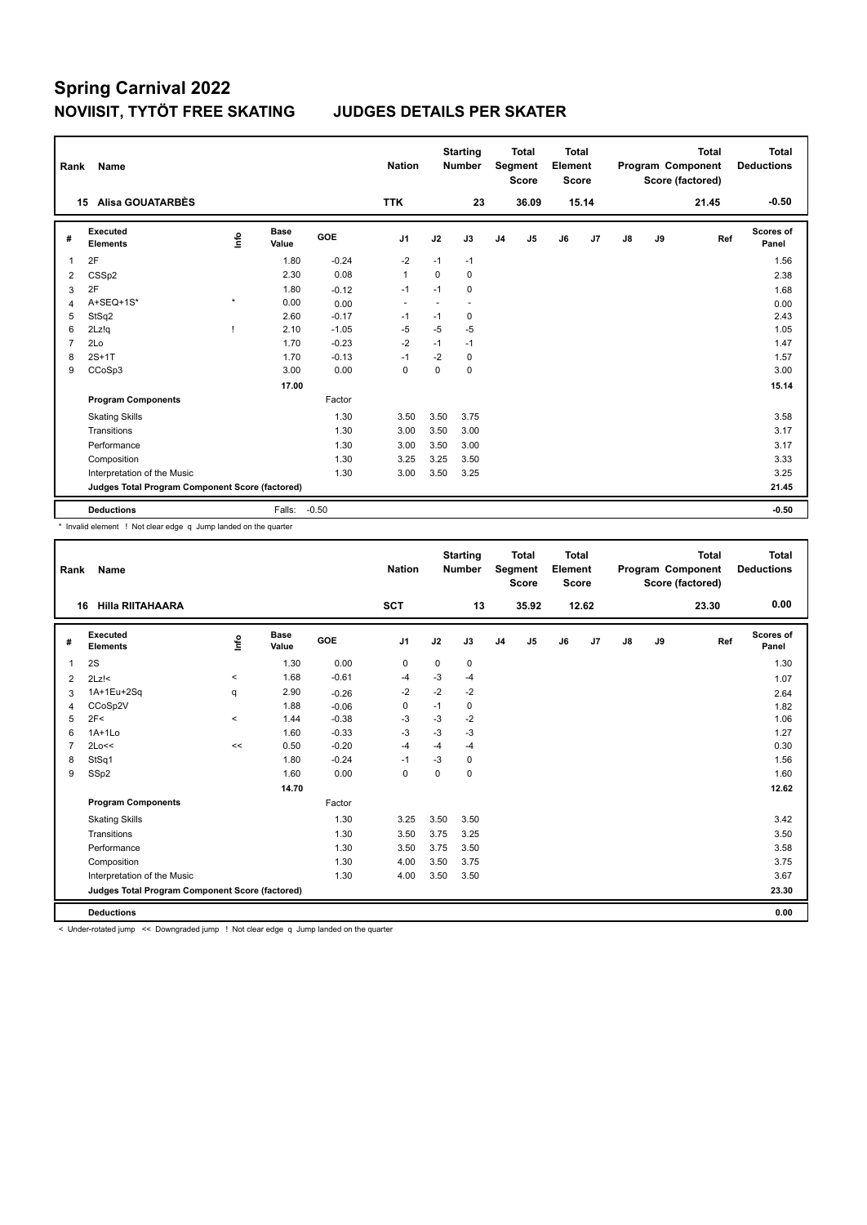| Rank           | Name                                            |         |                      |         | <b>Nation</b>  |          | <b>Starting</b><br><b>Number</b> |                | <b>Total</b><br>Segment<br><b>Score</b> | <b>Total</b><br>Element<br><b>Score</b> |       |               |    | <b>Total</b><br>Program Component<br>Score (factored) | Total<br><b>Deductions</b> |
|----------------|-------------------------------------------------|---------|----------------------|---------|----------------|----------|----------------------------------|----------------|-----------------------------------------|-----------------------------------------|-------|---------------|----|-------------------------------------------------------|----------------------------|
|                | <b>Alisa GOUATARBÈS</b><br>15                   |         |                      |         | <b>TTK</b>     |          | 23                               |                | 36.09                                   |                                         | 15.14 |               |    | 21.45                                                 | $-0.50$                    |
| #              | Executed<br><b>Elements</b>                     | ۴٥      | <b>Base</b><br>Value | GOE     | J <sub>1</sub> | J2       | J3                               | J <sub>4</sub> | J5                                      | J6                                      | J7    | $\mathsf{J}8$ | J9 | Ref                                                   | <b>Scores of</b><br>Panel  |
| 1              | 2F                                              |         | 1.80                 | $-0.24$ | $-2$           | $-1$     | $-1$                             |                |                                         |                                         |       |               |    |                                                       | 1.56                       |
| 2              | CSSp2                                           |         | 2.30                 | 0.08    | $\mathbf{1}$   | $\Omega$ | $\Omega$                         |                |                                         |                                         |       |               |    |                                                       | 2.38                       |
| 3              | 2F                                              |         | 1.80                 | $-0.12$ | $-1$           | $-1$     | 0                                |                |                                         |                                         |       |               |    |                                                       | 1.68                       |
| 4              | A+SEQ+1S*                                       | $\star$ | 0.00                 | 0.00    |                |          |                                  |                |                                         |                                         |       |               |    |                                                       | 0.00                       |
| 5              | StSq2                                           |         | 2.60                 | $-0.17$ | $-1$           | $-1$     | 0                                |                |                                         |                                         |       |               |    |                                                       | 2.43                       |
| 6              | 2Lz!q                                           |         | 2.10                 | $-1.05$ | $-5$           | $-5$     | $-5$                             |                |                                         |                                         |       |               |    |                                                       | 1.05                       |
| $\overline{7}$ | 2Lo                                             |         | 1.70                 | $-0.23$ | $-2$           | $-1$     | $-1$                             |                |                                         |                                         |       |               |    |                                                       | 1.47                       |
| 8              | $2S+1T$                                         |         | 1.70                 | $-0.13$ | $-1$           | $-2$     | 0                                |                |                                         |                                         |       |               |    |                                                       | 1.57                       |
| 9              | CCoSp3                                          |         | 3.00                 | 0.00    | 0              | 0        | 0                                |                |                                         |                                         |       |               |    |                                                       | 3.00                       |
|                |                                                 |         | 17.00                |         |                |          |                                  |                |                                         |                                         |       |               |    |                                                       | 15.14                      |
|                | <b>Program Components</b>                       |         |                      | Factor  |                |          |                                  |                |                                         |                                         |       |               |    |                                                       |                            |
|                | <b>Skating Skills</b>                           |         |                      | 1.30    | 3.50           | 3.50     | 3.75                             |                |                                         |                                         |       |               |    |                                                       | 3.58                       |
|                | Transitions                                     |         |                      | 1.30    | 3.00           | 3.50     | 3.00                             |                |                                         |                                         |       |               |    |                                                       | 3.17                       |
|                | Performance                                     |         |                      | 1.30    | 3.00           | 3.50     | 3.00                             |                |                                         |                                         |       |               |    |                                                       | 3.17                       |
|                | Composition                                     |         |                      | 1.30    | 3.25           | 3.25     | 3.50                             |                |                                         |                                         |       |               |    |                                                       | 3.33                       |
|                | Interpretation of the Music                     |         |                      | 1.30    | 3.00           | 3.50     | 3.25                             |                |                                         |                                         |       |               |    |                                                       | 3.25                       |
|                | Judges Total Program Component Score (factored) |         |                      |         |                |          |                                  |                |                                         |                                         |       |               |    |                                                       | 21.45                      |
|                | <b>Deductions</b>                               |         | Falls:               | $-0.50$ |                |          |                                  |                |                                         |                                         |       |               |    |                                                       | $-0.50$                    |

\* Invalid element ! Not clear edge q Jump landed on the quarter

| Rank           | <b>Name</b>                                     |         |               |         | <b>Nation</b>  |             | <b>Starting</b><br><b>Number</b> |                | <b>Total</b><br>Segment<br><b>Score</b> | Total<br>Element<br><b>Score</b> |       |               |    | <b>Total</b><br>Program Component<br>Score (factored) | <b>Total</b><br><b>Deductions</b> |
|----------------|-------------------------------------------------|---------|---------------|---------|----------------|-------------|----------------------------------|----------------|-----------------------------------------|----------------------------------|-------|---------------|----|-------------------------------------------------------|-----------------------------------|
| 16             | <b>Hilla RIITAHAARA</b>                         |         |               |         | <b>SCT</b>     |             | 13                               |                | 35.92                                   |                                  | 12.62 |               |    | 23.30                                                 | 0.00                              |
| #              | Executed<br><b>Elements</b>                     | lnfo    | Base<br>Value | GOE     | J <sub>1</sub> | J2          | J3                               | J <sub>4</sub> | J5                                      | J6                               | J7    | $\mathsf{J}8$ | J9 | Ref                                                   | Scores of<br>Panel                |
| $\overline{1}$ | 2S                                              |         | 1.30          | 0.00    | 0              | $\mathbf 0$ | 0                                |                |                                         |                                  |       |               |    |                                                       | 1.30                              |
| 2              | $2Lz$ !<                                        | $\prec$ | 1.68          | $-0.61$ | $-4$           | $-3$        | $-4$                             |                |                                         |                                  |       |               |    |                                                       | 1.07                              |
| 3              | 1A+1Eu+2Sq                                      | q       | 2.90          | $-0.26$ | $-2$           | $-2$        | $-2$                             |                |                                         |                                  |       |               |    |                                                       | 2.64                              |
| 4              | CCoSp2V                                         |         | 1.88          | $-0.06$ | $\mathbf 0$    | $-1$        | 0                                |                |                                         |                                  |       |               |    |                                                       | 1.82                              |
| 5              | 2F<                                             | $\prec$ | 1.44          | $-0.38$ | $-3$           | $-3$        | $-2$                             |                |                                         |                                  |       |               |    |                                                       | 1.06                              |
| 6              | $1A+1Lo$                                        |         | 1.60          | $-0.33$ | $-3$           | $-3$        | $-3$                             |                |                                         |                                  |       |               |    |                                                       | 1.27                              |
| $\overline{7}$ | 2Lo<<                                           | $\,<$   | 0.50          | $-0.20$ | $-4$           | $-4$        | $-4$                             |                |                                         |                                  |       |               |    |                                                       | 0.30                              |
| 8              | StSq1                                           |         | 1.80          | $-0.24$ | $-1$           | $-3$        | 0                                |                |                                         |                                  |       |               |    |                                                       | 1.56                              |
| 9              | SSp2                                            |         | 1.60          | 0.00    | $\mathbf 0$    | $\Omega$    | 0                                |                |                                         |                                  |       |               |    |                                                       | 1.60                              |
|                |                                                 |         | 14.70         |         |                |             |                                  |                |                                         |                                  |       |               |    |                                                       | 12.62                             |
|                | <b>Program Components</b>                       |         |               | Factor  |                |             |                                  |                |                                         |                                  |       |               |    |                                                       |                                   |
|                | <b>Skating Skills</b>                           |         |               | 1.30    | 3.25           | 3.50        | 3.50                             |                |                                         |                                  |       |               |    |                                                       | 3.42                              |
|                | Transitions                                     |         |               | 1.30    | 3.50           | 3.75        | 3.25                             |                |                                         |                                  |       |               |    |                                                       | 3.50                              |
|                | Performance                                     |         |               | 1.30    | 3.50           | 3.75        | 3.50                             |                |                                         |                                  |       |               |    |                                                       | 3.58                              |
|                | Composition                                     |         |               | 1.30    | 4.00           | 3.50        | 3.75                             |                |                                         |                                  |       |               |    |                                                       | 3.75                              |
|                | Interpretation of the Music                     |         |               | 1.30    | 4.00           | 3.50        | 3.50                             |                |                                         |                                  |       |               |    |                                                       | 3.67                              |
|                | Judges Total Program Component Score (factored) |         |               |         |                |             |                                  |                |                                         |                                  |       |               |    |                                                       | 23.30                             |
|                | <b>Deductions</b>                               |         |               |         |                |             |                                  |                |                                         |                                  |       |               |    |                                                       | 0.00                              |

< Under-rotated jump << Downgraded jump ! Not clear edge q Jump landed on the quarter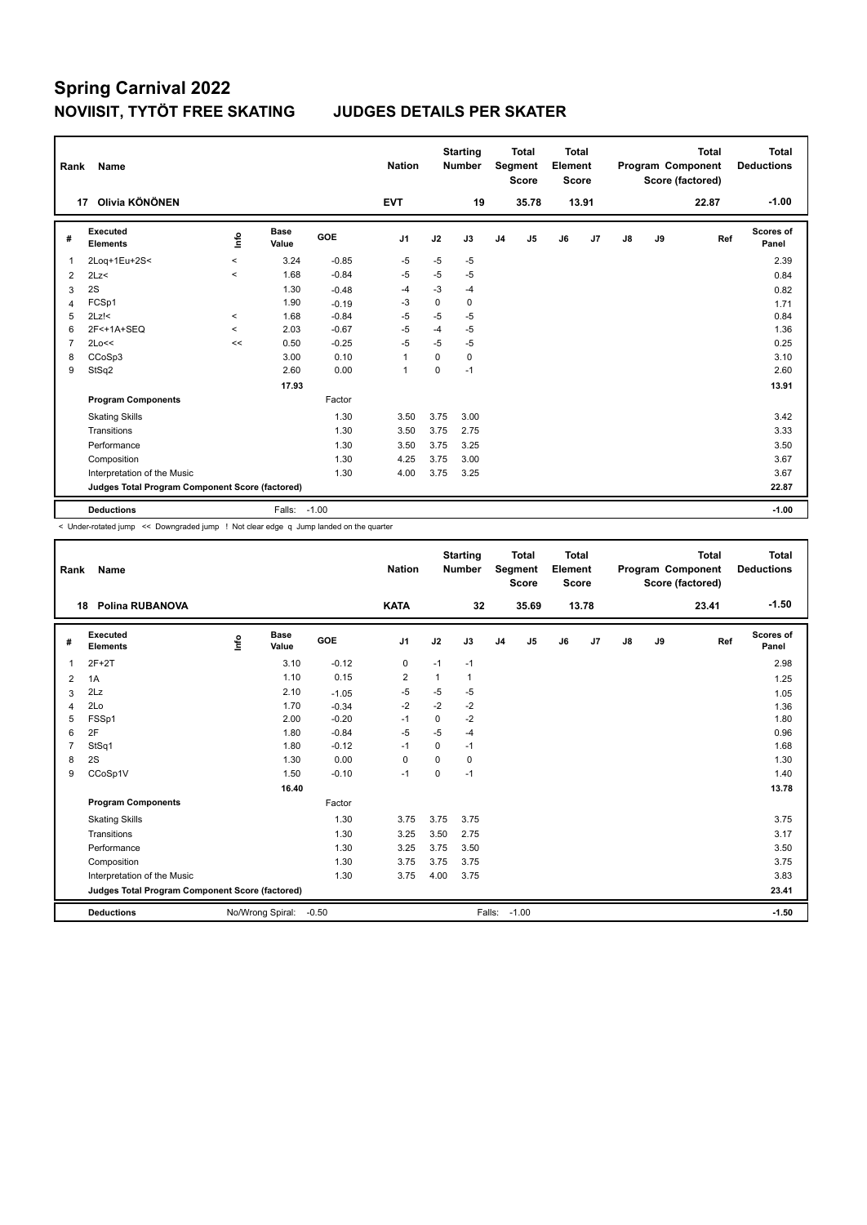| Rank           | Name                                            |            |                      |         | <b>Nation</b>  |          | <b>Starting</b><br><b>Number</b> |                | <b>Total</b><br>Segment<br><b>Score</b> | <b>Total</b><br>Element<br><b>Score</b> |       |               |    | <b>Total</b><br>Program Component<br>Score (factored) | Total<br><b>Deductions</b> |
|----------------|-------------------------------------------------|------------|----------------------|---------|----------------|----------|----------------------------------|----------------|-----------------------------------------|-----------------------------------------|-------|---------------|----|-------------------------------------------------------|----------------------------|
|                | Olivia KÖNÖNEN<br>17                            |            |                      |         | <b>EVT</b>     |          | 19                               |                | 35.78                                   |                                         | 13.91 |               |    | 22.87                                                 | $-1.00$                    |
| #              | Executed<br><b>Elements</b>                     | <b>Lin</b> | <b>Base</b><br>Value | GOE     | J1             | J2       | J3                               | J <sub>4</sub> | J5                                      | J6                                      | J7    | $\mathsf{J}8$ | J9 | Ref                                                   | <b>Scores of</b><br>Panel  |
| $\overline{1}$ | 2Loq+1Eu+2S<                                    | $\,<\,$    | 3.24                 | $-0.85$ | $-5$           | $-5$     | $-5$                             |                |                                         |                                         |       |               |    |                                                       | 2.39                       |
| 2              | 2Lz<                                            | $\prec$    | 1.68                 | $-0.84$ | $-5$           | $-5$     | $-5$                             |                |                                         |                                         |       |               |    |                                                       | 0.84                       |
| 3              | 2S                                              |            | 1.30                 | $-0.48$ | $-4$           | $-3$     | $-4$                             |                |                                         |                                         |       |               |    |                                                       | 0.82                       |
| 4              | FCSp1                                           |            | 1.90                 | $-0.19$ | -3             | $\Omega$ | 0                                |                |                                         |                                         |       |               |    |                                                       | 1.71                       |
| 5              | $2Lz$ !<                                        | $\,<\,$    | 1.68                 | $-0.84$ | $-5$           | $-5$     | $-5$                             |                |                                         |                                         |       |               |    |                                                       | 0.84                       |
| 6              | 2F<+1A+SEQ                                      | $\,<\,$    | 2.03                 | $-0.67$ | $-5$           | $-4$     | $-5$                             |                |                                         |                                         |       |               |    |                                                       | 1.36                       |
| $\overline{7}$ | 2Lo<<                                           | <<         | 0.50                 | $-0.25$ | $-5$           | $-5$     | $-5$                             |                |                                         |                                         |       |               |    |                                                       | 0.25                       |
| 8              | CCoSp3                                          |            | 3.00                 | 0.10    | $\overline{1}$ | 0        | 0                                |                |                                         |                                         |       |               |    |                                                       | 3.10                       |
| 9              | StSq2                                           |            | 2.60                 | 0.00    | $\mathbf{1}$   | 0        | $-1$                             |                |                                         |                                         |       |               |    |                                                       | 2.60                       |
|                |                                                 |            | 17.93                |         |                |          |                                  |                |                                         |                                         |       |               |    |                                                       | 13.91                      |
|                | <b>Program Components</b>                       |            |                      | Factor  |                |          |                                  |                |                                         |                                         |       |               |    |                                                       |                            |
|                | <b>Skating Skills</b>                           |            |                      | 1.30    | 3.50           | 3.75     | 3.00                             |                |                                         |                                         |       |               |    |                                                       | 3.42                       |
|                | Transitions                                     |            |                      | 1.30    | 3.50           | 3.75     | 2.75                             |                |                                         |                                         |       |               |    |                                                       | 3.33                       |
|                | Performance                                     |            |                      | 1.30    | 3.50           | 3.75     | 3.25                             |                |                                         |                                         |       |               |    |                                                       | 3.50                       |
|                | Composition                                     |            |                      | 1.30    | 4.25           | 3.75     | 3.00                             |                |                                         |                                         |       |               |    |                                                       | 3.67                       |
|                | Interpretation of the Music                     |            |                      | 1.30    | 4.00           | 3.75     | 3.25                             |                |                                         |                                         |       |               |    |                                                       | 3.67                       |
|                | Judges Total Program Component Score (factored) |            |                      |         |                |          |                                  |                |                                         |                                         |       |               |    |                                                       | 22.87                      |
|                | <b>Deductions</b>                               |            | Falls:               | $-1.00$ |                |          |                                  |                |                                         |                                         |       |               |    |                                                       | $-1.00$                    |

< Under-rotated jump << Downgraded jump ! Not clear edge q Jump landed on the quarter

| Rank           | <b>Name</b>                                     |      |                      |         | <b>Nation</b>  |          | <b>Starting</b><br><b>Number</b> |                | <b>Total</b><br>Segment<br><b>Score</b> | Total<br>Element<br><b>Score</b> |       |               |    | <b>Total</b><br>Program Component<br>Score (factored) | Total<br><b>Deductions</b> |
|----------------|-------------------------------------------------|------|----------------------|---------|----------------|----------|----------------------------------|----------------|-----------------------------------------|----------------------------------|-------|---------------|----|-------------------------------------------------------|----------------------------|
|                | <b>Polina RUBANOVA</b><br>18                    |      |                      |         | <b>KATA</b>    |          | 32                               |                | 35.69                                   |                                  | 13.78 |               |    | 23.41                                                 | $-1.50$                    |
| #              | Executed<br><b>Elements</b>                     | Info | <b>Base</b><br>Value | GOE     | J1             | J2       | J3                               | J <sub>4</sub> | J5                                      | J6                               | J7    | $\mathsf{J}8$ | J9 | Ref                                                   | <b>Scores of</b><br>Panel  |
| 1              | $2F+2T$                                         |      | 3.10                 | $-0.12$ | 0              | $-1$     | $-1$                             |                |                                         |                                  |       |               |    |                                                       | 2.98                       |
| 2              | 1A                                              |      | 1.10                 | 0.15    | $\overline{2}$ | 1        | $\mathbf{1}$                     |                |                                         |                                  |       |               |    |                                                       | 1.25                       |
| 3              | 2Lz                                             |      | 2.10                 | $-1.05$ | -5             | $-5$     | $-5$                             |                |                                         |                                  |       |               |    |                                                       | 1.05                       |
| $\overline{4}$ | 2Lo                                             |      | 1.70                 | $-0.34$ | $-2$           | $-2$     | $-2$                             |                |                                         |                                  |       |               |    |                                                       | 1.36                       |
| 5              | FSSp1                                           |      | 2.00                 | $-0.20$ | $-1$           | 0        | $-2$                             |                |                                         |                                  |       |               |    |                                                       | 1.80                       |
| 6              | 2F                                              |      | 1.80                 | $-0.84$ | $-5$           | $-5$     | $-4$                             |                |                                         |                                  |       |               |    |                                                       | 0.96                       |
| $\overline{7}$ | StSq1                                           |      | 1.80                 | $-0.12$ | $-1$           | $\Omega$ | $-1$                             |                |                                         |                                  |       |               |    |                                                       | 1.68                       |
| 8              | 2S                                              |      | 1.30                 | 0.00    | 0              | $\Omega$ | 0                                |                |                                         |                                  |       |               |    |                                                       | 1.30                       |
| 9              | CCoSp1V                                         |      | 1.50                 | $-0.10$ | $-1$           | $\Omega$ | $-1$                             |                |                                         |                                  |       |               |    |                                                       | 1.40                       |
|                |                                                 |      | 16.40                |         |                |          |                                  |                |                                         |                                  |       |               |    |                                                       | 13.78                      |
|                | <b>Program Components</b>                       |      |                      | Factor  |                |          |                                  |                |                                         |                                  |       |               |    |                                                       |                            |
|                | <b>Skating Skills</b>                           |      |                      | 1.30    | 3.75           | 3.75     | 3.75                             |                |                                         |                                  |       |               |    |                                                       | 3.75                       |
|                | Transitions                                     |      |                      | 1.30    | 3.25           | 3.50     | 2.75                             |                |                                         |                                  |       |               |    |                                                       | 3.17                       |
|                | Performance                                     |      |                      | 1.30    | 3.25           | 3.75     | 3.50                             |                |                                         |                                  |       |               |    |                                                       | 3.50                       |
|                | Composition                                     |      |                      | 1.30    | 3.75           | 3.75     | 3.75                             |                |                                         |                                  |       |               |    |                                                       | 3.75                       |
|                | Interpretation of the Music                     |      |                      | 1.30    | 3.75           | 4.00     | 3.75                             |                |                                         |                                  |       |               |    |                                                       | 3.83                       |
|                | Judges Total Program Component Score (factored) |      |                      |         |                |          |                                  |                |                                         |                                  |       |               |    |                                                       | 23.41                      |
|                | <b>Deductions</b>                               |      | No/Wrong Spiral:     | $-0.50$ |                |          | Falls:                           |                | $-1.00$                                 |                                  |       |               |    |                                                       | $-1.50$                    |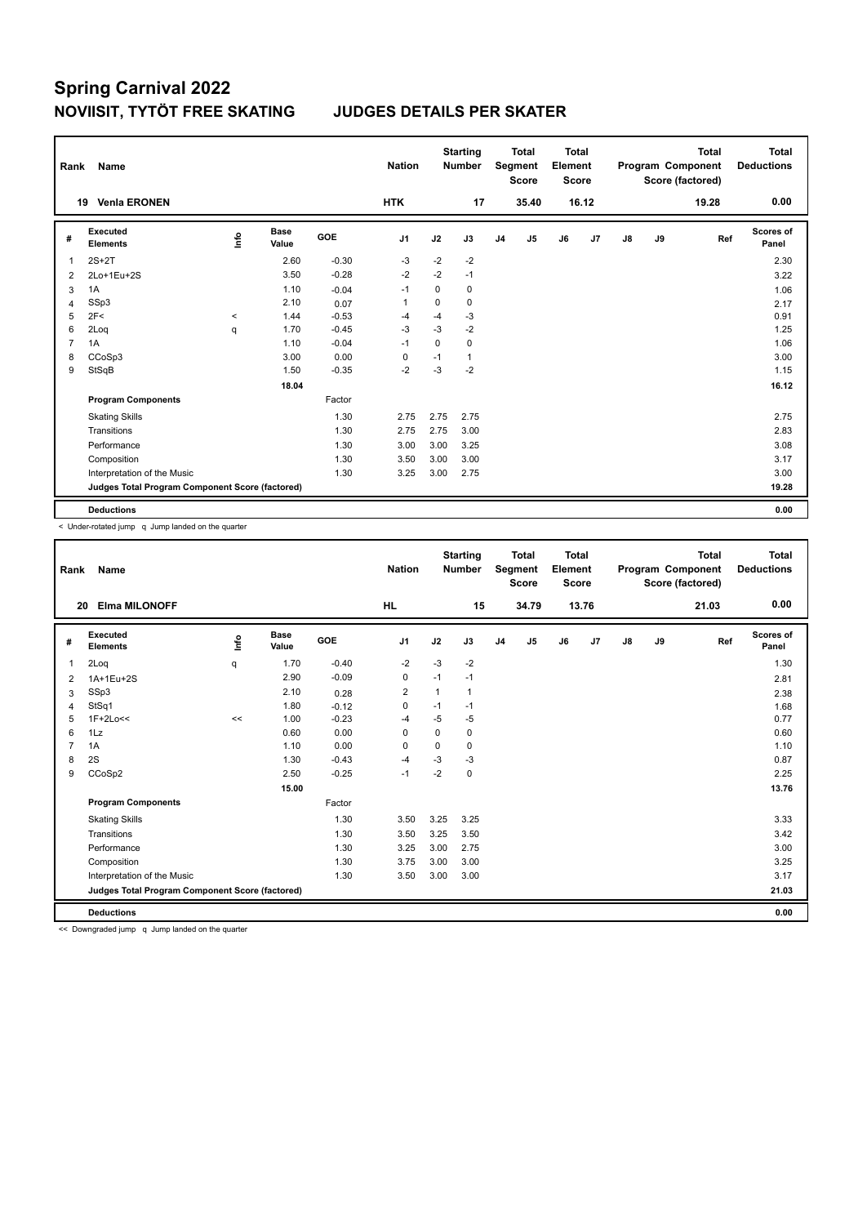| Rank           | Name                                            |         |                      |            | <b>Nation</b>  |             | <b>Starting</b><br><b>Number</b> |                | <b>Total</b><br>Segment<br><b>Score</b> | <b>Total</b><br>Element<br><b>Score</b> |                |               |    | <b>Total</b><br>Program Component<br>Score (factored) | Total<br><b>Deductions</b> |
|----------------|-------------------------------------------------|---------|----------------------|------------|----------------|-------------|----------------------------------|----------------|-----------------------------------------|-----------------------------------------|----------------|---------------|----|-------------------------------------------------------|----------------------------|
|                | <b>Venia ERONEN</b><br>19                       |         |                      |            | <b>HTK</b>     |             | 17                               |                | 35.40                                   |                                         | 16.12          |               |    | 19.28                                                 | 0.00                       |
| #              | <b>Executed</b><br><b>Elements</b>              | ١nfo    | <b>Base</b><br>Value | <b>GOE</b> | J <sub>1</sub> | J2          | J3                               | J <sub>4</sub> | J5                                      | J6                                      | J <sub>7</sub> | $\mathsf{J}8$ | J9 | Ref                                                   | <b>Scores of</b><br>Panel  |
| $\overline{1}$ | $2S+2T$                                         |         | 2.60                 | $-0.30$    | -3             | $-2$        | $-2$                             |                |                                         |                                         |                |               |    |                                                       | 2.30                       |
| 2              | 2Lo+1Eu+2S                                      |         | 3.50                 | $-0.28$    | $-2$           | $-2$        | $-1$                             |                |                                         |                                         |                |               |    |                                                       | 3.22                       |
| 3              | 1A                                              |         | 1.10                 | $-0.04$    | $-1$           | 0           | 0                                |                |                                         |                                         |                |               |    |                                                       | 1.06                       |
| $\overline{4}$ | SSp3                                            |         | 2.10                 | 0.07       | $\mathbf{1}$   | 0           | 0                                |                |                                         |                                         |                |               |    |                                                       | 2.17                       |
| 5              | 2F<                                             | $\prec$ | 1.44                 | $-0.53$    | $-4$           | $-4$        | $-3$                             |                |                                         |                                         |                |               |    |                                                       | 0.91                       |
| 6              | 2Loq                                            | q       | 1.70                 | $-0.45$    | -3             | $-3$        | $-2$                             |                |                                         |                                         |                |               |    |                                                       | 1.25                       |
| $\overline{7}$ | 1A                                              |         | 1.10                 | $-0.04$    | $-1$           | $\mathbf 0$ | 0                                |                |                                         |                                         |                |               |    |                                                       | 1.06                       |
| 8              | CCoSp3                                          |         | 3.00                 | 0.00       | 0              | $-1$        | 1                                |                |                                         |                                         |                |               |    |                                                       | 3.00                       |
| 9              | StSqB                                           |         | 1.50                 | $-0.35$    | $-2$           | $-3$        | $-2$                             |                |                                         |                                         |                |               |    |                                                       | 1.15                       |
|                |                                                 |         | 18.04                |            |                |             |                                  |                |                                         |                                         |                |               |    |                                                       | 16.12                      |
|                | <b>Program Components</b>                       |         |                      | Factor     |                |             |                                  |                |                                         |                                         |                |               |    |                                                       |                            |
|                | <b>Skating Skills</b>                           |         |                      | 1.30       | 2.75           | 2.75        | 2.75                             |                |                                         |                                         |                |               |    |                                                       | 2.75                       |
|                | Transitions                                     |         |                      | 1.30       | 2.75           | 2.75        | 3.00                             |                |                                         |                                         |                |               |    |                                                       | 2.83                       |
|                | Performance                                     |         |                      | 1.30       | 3.00           | 3.00        | 3.25                             |                |                                         |                                         |                |               |    |                                                       | 3.08                       |
|                | Composition                                     |         |                      | 1.30       | 3.50           | 3.00        | 3.00                             |                |                                         |                                         |                |               |    |                                                       | 3.17                       |
|                | Interpretation of the Music                     |         |                      | 1.30       | 3.25           | 3.00        | 2.75                             |                |                                         |                                         |                |               |    |                                                       | 3.00                       |
|                | Judges Total Program Component Score (factored) |         |                      |            |                |             |                                  |                |                                         |                                         |                |               |    |                                                       | 19.28                      |
|                | <b>Deductions</b>                               |         |                      |            |                |             |                                  |                |                                         |                                         |                |               |    |                                                       | 0.00                       |

< Under-rotated jump q Jump landed on the quarter

| Rank           | Name                                            |      |                      |            | <b>Nation</b> |             | <b>Starting</b><br><b>Number</b> |                | <b>Total</b><br>Segment<br><b>Score</b> | <b>Total</b><br>Element<br>Score |                |    |    | <b>Total</b><br>Program Component<br>Score (factored) | Total<br><b>Deductions</b> |
|----------------|-------------------------------------------------|------|----------------------|------------|---------------|-------------|----------------------------------|----------------|-----------------------------------------|----------------------------------|----------------|----|----|-------------------------------------------------------|----------------------------|
| 20             | <b>Elma MILONOFF</b>                            |      |                      |            | <b>HL</b>     |             | 15                               |                | 34.79                                   |                                  | 13.76          |    |    | 21.03                                                 | 0.00                       |
| #              | <b>Executed</b><br><b>Elements</b>              | ١nf٥ | <b>Base</b><br>Value | <b>GOE</b> | J1            | J2          | J3                               | J <sub>4</sub> | J5                                      | J6                               | J <sub>7</sub> | J8 | J9 | Ref                                                   | <b>Scores of</b><br>Panel  |
| 1              | 2Loq                                            | q    | 1.70                 | $-0.40$    | $-2$          | $-3$        | $-2$                             |                |                                         |                                  |                |    |    |                                                       | 1.30                       |
| $\overline{2}$ | 1A+1Eu+2S                                       |      | 2.90                 | $-0.09$    | 0             | $-1$        | $-1$                             |                |                                         |                                  |                |    |    |                                                       | 2.81                       |
| 3              | SSp3                                            |      | 2.10                 | 0.28       | 2             | 1           | $\mathbf{1}$                     |                |                                         |                                  |                |    |    |                                                       | 2.38                       |
| 4              | StSq1                                           |      | 1.80                 | $-0.12$    | 0             | $-1$        | $-1$                             |                |                                         |                                  |                |    |    |                                                       | 1.68                       |
| 5              | $1F+2Lo<<$                                      | <<   | 1.00                 | $-0.23$    | $-4$          | $-5$        | $-5$                             |                |                                         |                                  |                |    |    |                                                       | 0.77                       |
| 6              | 1Lz                                             |      | 0.60                 | 0.00       | $\Omega$      | $\mathbf 0$ | 0                                |                |                                         |                                  |                |    |    |                                                       | 0.60                       |
| 7              | 1A                                              |      | 1.10                 | 0.00       | 0             | $\mathbf 0$ | 0                                |                |                                         |                                  |                |    |    |                                                       | 1.10                       |
| 8              | 2S                                              |      | 1.30                 | $-0.43$    | $-4$          | $-3$        | $-3$                             |                |                                         |                                  |                |    |    |                                                       | 0.87                       |
| 9              | CCoSp2                                          |      | 2.50                 | $-0.25$    | $-1$          | $-2$        | $\mathbf 0$                      |                |                                         |                                  |                |    |    |                                                       | 2.25                       |
|                |                                                 |      | 15.00                |            |               |             |                                  |                |                                         |                                  |                |    |    |                                                       | 13.76                      |
|                | <b>Program Components</b>                       |      |                      | Factor     |               |             |                                  |                |                                         |                                  |                |    |    |                                                       |                            |
|                | <b>Skating Skills</b>                           |      |                      | 1.30       | 3.50          | 3.25        | 3.25                             |                |                                         |                                  |                |    |    |                                                       | 3.33                       |
|                | Transitions                                     |      |                      | 1.30       | 3.50          | 3.25        | 3.50                             |                |                                         |                                  |                |    |    |                                                       | 3.42                       |
|                | Performance                                     |      |                      | 1.30       | 3.25          | 3.00        | 2.75                             |                |                                         |                                  |                |    |    |                                                       | 3.00                       |
|                | Composition                                     |      |                      | 1.30       | 3.75          | 3.00        | 3.00                             |                |                                         |                                  |                |    |    |                                                       | 3.25                       |
|                | Interpretation of the Music                     |      |                      | 1.30       | 3.50          | 3.00        | 3.00                             |                |                                         |                                  |                |    |    |                                                       | 3.17                       |
|                | Judges Total Program Component Score (factored) |      |                      |            |               |             |                                  |                |                                         |                                  |                |    |    |                                                       | 21.03                      |
|                | <b>Deductions</b>                               |      |                      |            |               |             |                                  |                |                                         |                                  |                |    |    |                                                       | 0.00                       |

<< Downgraded jump q Jump landed on the quarter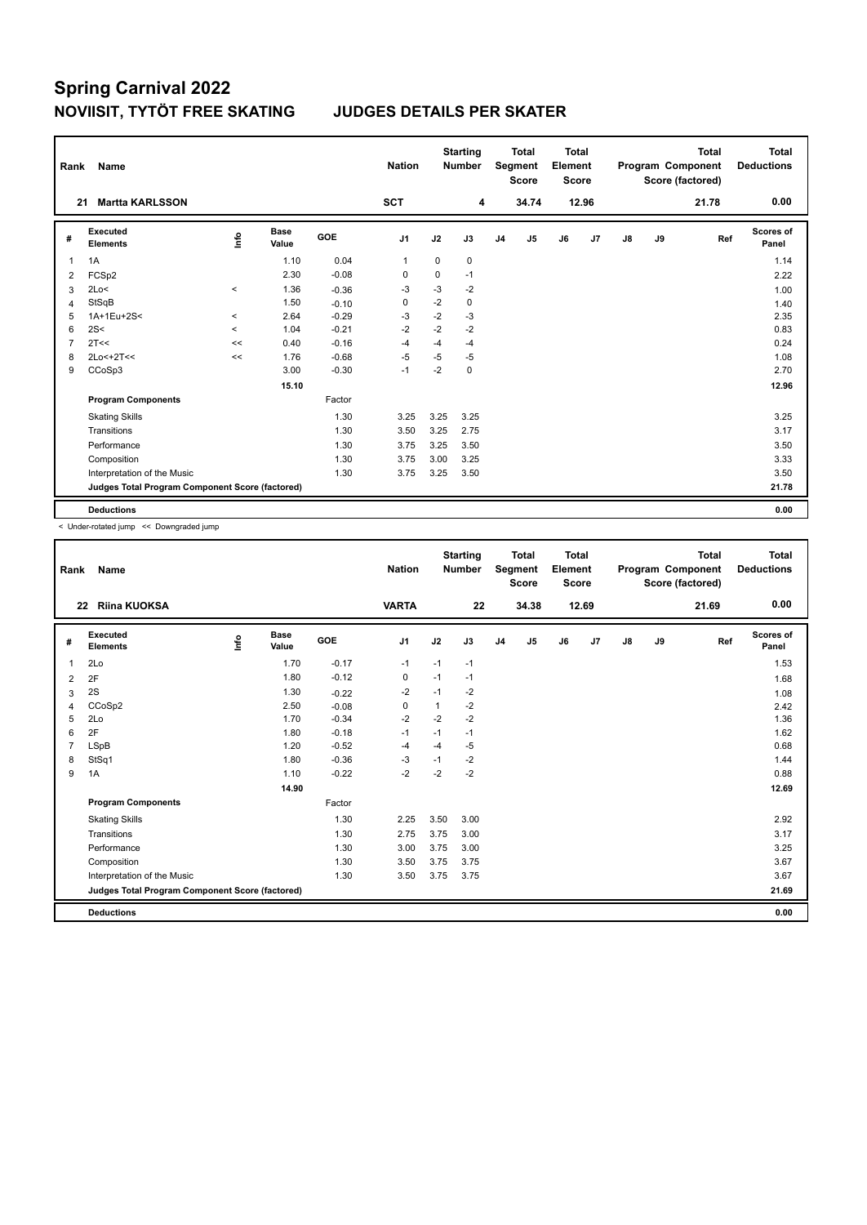| Rank           | <b>Name</b>                                     |         |                      |         | <b>Nation</b>  |      | <b>Starting</b><br><b>Number</b> |                | <b>Total</b><br>Segment<br><b>Score</b> | <b>Total</b><br>Element<br><b>Score</b> |       |               |    | <b>Total</b><br>Program Component<br>Score (factored) | Total<br><b>Deductions</b> |
|----------------|-------------------------------------------------|---------|----------------------|---------|----------------|------|----------------------------------|----------------|-----------------------------------------|-----------------------------------------|-------|---------------|----|-------------------------------------------------------|----------------------------|
|                | <b>Martta KARLSSON</b><br>21                    |         |                      |         | <b>SCT</b>     |      | 4                                |                | 34.74                                   |                                         | 12.96 |               |    | 21.78                                                 | 0.00                       |
| #              | Executed<br><b>Elements</b>                     | ١rfo    | <b>Base</b><br>Value | GOE     | J <sub>1</sub> | J2   | J3                               | J <sub>4</sub> | J5                                      | J6                                      | J7    | $\mathsf{J}8$ | J9 | Ref                                                   | Scores of<br>Panel         |
| 1              | 1A                                              |         | 1.10                 | 0.04    | $\mathbf 1$    | 0    | 0                                |                |                                         |                                         |       |               |    |                                                       | 1.14                       |
| 2              | FCSp2                                           |         | 2.30                 | $-0.08$ | 0              | 0    | $-1$                             |                |                                         |                                         |       |               |    |                                                       | 2.22                       |
| 3              | 2Lo<                                            | $\,<$   | 1.36                 | $-0.36$ | $-3$           | $-3$ | $-2$                             |                |                                         |                                         |       |               |    |                                                       | 1.00                       |
| $\overline{4}$ | StSqB                                           |         | 1.50                 | $-0.10$ | 0              | $-2$ | 0                                |                |                                         |                                         |       |               |    |                                                       | 1.40                       |
| 5              | 1A+1Eu+2S<                                      | $\prec$ | 2.64                 | $-0.29$ | -3             | $-2$ | $-3$                             |                |                                         |                                         |       |               |    |                                                       | 2.35                       |
| 6              | 2S<                                             | $\prec$ | 1.04                 | $-0.21$ | $-2$           | $-2$ | $-2$                             |                |                                         |                                         |       |               |    |                                                       | 0.83                       |
| $\overline{7}$ | 2T<<                                            | <<      | 0.40                 | $-0.16$ | $-4$           | $-4$ | $-4$                             |                |                                         |                                         |       |               |    |                                                       | 0.24                       |
| 8              | $2Lo<+2T<<$                                     | <<      | 1.76                 | $-0.68$ | $-5$           | $-5$ | $-5$                             |                |                                         |                                         |       |               |    |                                                       | 1.08                       |
| 9              | CCoSp3                                          |         | 3.00                 | $-0.30$ | $-1$           | $-2$ | 0                                |                |                                         |                                         |       |               |    |                                                       | 2.70                       |
|                |                                                 |         | 15.10                |         |                |      |                                  |                |                                         |                                         |       |               |    |                                                       | 12.96                      |
|                | <b>Program Components</b>                       |         |                      | Factor  |                |      |                                  |                |                                         |                                         |       |               |    |                                                       |                            |
|                | <b>Skating Skills</b>                           |         |                      | 1.30    | 3.25           | 3.25 | 3.25                             |                |                                         |                                         |       |               |    |                                                       | 3.25                       |
|                | Transitions                                     |         |                      | 1.30    | 3.50           | 3.25 | 2.75                             |                |                                         |                                         |       |               |    |                                                       | 3.17                       |
|                | Performance                                     |         |                      | 1.30    | 3.75           | 3.25 | 3.50                             |                |                                         |                                         |       |               |    |                                                       | 3.50                       |
|                | Composition                                     |         |                      | 1.30    | 3.75           | 3.00 | 3.25                             |                |                                         |                                         |       |               |    |                                                       | 3.33                       |
|                | Interpretation of the Music                     |         |                      | 1.30    | 3.75           | 3.25 | 3.50                             |                |                                         |                                         |       |               |    |                                                       | 3.50                       |
|                | Judges Total Program Component Score (factored) |         |                      |         |                |      |                                  |                |                                         |                                         |       |               |    |                                                       | 21.78                      |
|                | <b>Deductions</b>                               |         |                      |         |                |      |                                  |                |                                         |                                         |       |               |    |                                                       | 0.00                       |

< Under-rotated jump << Downgraded jump

| Rank           | Name                                            |       |                      |         | <b>Nation</b>  |              | <b>Starting</b><br><b>Number</b> |                | <b>Total</b><br>Segment<br><b>Score</b> | <b>Total</b><br>Element<br><b>Score</b> |       |               |    | <b>Total</b><br>Program Component<br>Score (factored) | <b>Total</b><br><b>Deductions</b> |
|----------------|-------------------------------------------------|-------|----------------------|---------|----------------|--------------|----------------------------------|----------------|-----------------------------------------|-----------------------------------------|-------|---------------|----|-------------------------------------------------------|-----------------------------------|
| 22             | <b>Riina KUOKSA</b>                             |       |                      |         | <b>VARTA</b>   |              | 22                               |                | 34.38                                   |                                         | 12.69 |               |    | 21.69                                                 | 0.00                              |
| #              | Executed<br><b>Elements</b>                     | Linfo | <b>Base</b><br>Value | GOE     | J <sub>1</sub> | J2           | J3                               | J <sub>4</sub> | J5                                      | J6                                      | J7    | $\mathsf{J}8$ | J9 | Ref                                                   | <b>Scores of</b><br>Panel         |
| 1              | 2Lo                                             |       | 1.70                 | $-0.17$ | $-1$           | $-1$         | $-1$                             |                |                                         |                                         |       |               |    |                                                       | 1.53                              |
| $\overline{2}$ | 2F                                              |       | 1.80                 | $-0.12$ | 0              | $-1$         | $-1$                             |                |                                         |                                         |       |               |    |                                                       | 1.68                              |
| 3              | 2S                                              |       | 1.30                 | $-0.22$ | $-2$           | $-1$         | $-2$                             |                |                                         |                                         |       |               |    |                                                       | 1.08                              |
| 4              | CCoSp2                                          |       | 2.50                 | $-0.08$ | 0              | $\mathbf{1}$ | $-2$                             |                |                                         |                                         |       |               |    |                                                       | 2.42                              |
| 5              | 2Lo                                             |       | 1.70                 | $-0.34$ | $-2$           | $-2$         | $-2$                             |                |                                         |                                         |       |               |    |                                                       | 1.36                              |
| 6              | 2F                                              |       | 1.80                 | $-0.18$ | $-1$           | $-1$         | $-1$                             |                |                                         |                                         |       |               |    |                                                       | 1.62                              |
| $\overline{7}$ | <b>LSpB</b>                                     |       | 1.20                 | $-0.52$ | $-4$           | $-4$         | $-5$                             |                |                                         |                                         |       |               |    |                                                       | 0.68                              |
| 8              | StSq1                                           |       | 1.80                 | $-0.36$ | $-3$           | $-1$         | $-2$                             |                |                                         |                                         |       |               |    |                                                       | 1.44                              |
| 9              | 1A                                              |       | 1.10                 | $-0.22$ | $-2$           | $-2$         | $-2$                             |                |                                         |                                         |       |               |    |                                                       | 0.88                              |
|                |                                                 |       | 14.90                |         |                |              |                                  |                |                                         |                                         |       |               |    |                                                       | 12.69                             |
|                | <b>Program Components</b>                       |       |                      | Factor  |                |              |                                  |                |                                         |                                         |       |               |    |                                                       |                                   |
|                | <b>Skating Skills</b>                           |       |                      | 1.30    | 2.25           | 3.50         | 3.00                             |                |                                         |                                         |       |               |    |                                                       | 2.92                              |
|                | Transitions                                     |       |                      | 1.30    | 2.75           | 3.75         | 3.00                             |                |                                         |                                         |       |               |    |                                                       | 3.17                              |
|                | Performance                                     |       |                      | 1.30    | 3.00           | 3.75         | 3.00                             |                |                                         |                                         |       |               |    |                                                       | 3.25                              |
|                | Composition                                     |       |                      | 1.30    | 3.50           | 3.75         | 3.75                             |                |                                         |                                         |       |               |    |                                                       | 3.67                              |
|                | Interpretation of the Music                     |       |                      | 1.30    | 3.50           | 3.75         | 3.75                             |                |                                         |                                         |       |               |    |                                                       | 3.67                              |
|                | Judges Total Program Component Score (factored) |       |                      |         |                |              |                                  |                |                                         |                                         |       |               |    |                                                       | 21.69                             |
|                | <b>Deductions</b>                               |       |                      |         |                |              |                                  |                |                                         |                                         |       |               |    |                                                       | 0.00                              |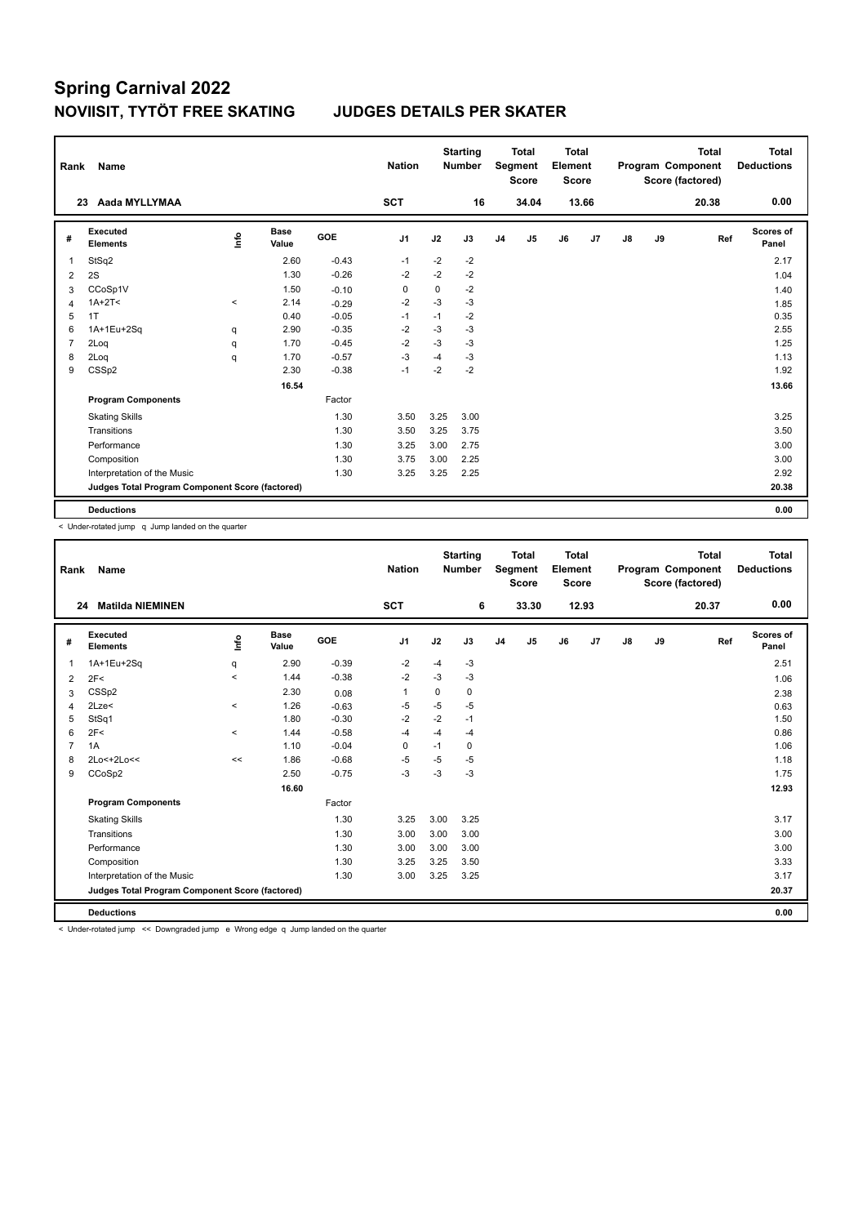| Rank           | <b>Name</b>                                     |         |                      |         | <b>Nation</b>  |      | <b>Starting</b><br><b>Number</b> |                | <b>Total</b><br>Segment<br><b>Score</b> | <b>Total</b><br>Element<br><b>Score</b> |       |               |    | <b>Total</b><br>Program Component<br>Score (factored) | Total<br><b>Deductions</b> |
|----------------|-------------------------------------------------|---------|----------------------|---------|----------------|------|----------------------------------|----------------|-----------------------------------------|-----------------------------------------|-------|---------------|----|-------------------------------------------------------|----------------------------|
|                | Aada MYLLYMAA<br>23                             |         |                      |         | <b>SCT</b>     |      | 16                               |                | 34.04                                   |                                         | 13.66 |               |    | 20.38                                                 | 0.00                       |
| #              | Executed<br><b>Elements</b>                     | ۴٥      | <b>Base</b><br>Value | GOE     | J <sub>1</sub> | J2   | J3                               | J <sub>4</sub> | J5                                      | J6                                      | J7    | $\mathsf{J}8$ | J9 | Ref                                                   | Scores of<br>Panel         |
| $\overline{1}$ | StSq2                                           |         | 2.60                 | $-0.43$ | $-1$           | -2   | $-2$                             |                |                                         |                                         |       |               |    |                                                       | 2.17                       |
| 2              | 2S                                              |         | 1.30                 | $-0.26$ | $-2$           | $-2$ | $-2$                             |                |                                         |                                         |       |               |    |                                                       | 1.04                       |
| 3              | CCoSp1V                                         |         | 1.50                 | $-0.10$ | 0              | 0    | $-2$                             |                |                                         |                                         |       |               |    |                                                       | 1.40                       |
| $\overline{4}$ | $1A+2T2$                                        | $\prec$ | 2.14                 | $-0.29$ | $-2$           | $-3$ | $-3$                             |                |                                         |                                         |       |               |    |                                                       | 1.85                       |
| 5              | 1T                                              |         | 0.40                 | $-0.05$ | $-1$           | $-1$ | $-2$                             |                |                                         |                                         |       |               |    |                                                       | 0.35                       |
| 6              | 1A+1Eu+2Sq                                      | q       | 2.90                 | $-0.35$ | $-2$           | $-3$ | $-3$                             |                |                                         |                                         |       |               |    |                                                       | 2.55                       |
| $\overline{7}$ | 2Loq                                            | q       | 1.70                 | $-0.45$ | $-2$           | $-3$ | $-3$                             |                |                                         |                                         |       |               |    |                                                       | 1.25                       |
| 8              | 2Log                                            | q       | 1.70                 | $-0.57$ | $-3$           | $-4$ | $-3$                             |                |                                         |                                         |       |               |    |                                                       | 1.13                       |
| 9              | CSSp2                                           |         | 2.30                 | $-0.38$ | $-1$           | $-2$ | $-2$                             |                |                                         |                                         |       |               |    |                                                       | 1.92                       |
|                |                                                 |         | 16.54                |         |                |      |                                  |                |                                         |                                         |       |               |    |                                                       | 13.66                      |
|                | <b>Program Components</b>                       |         |                      | Factor  |                |      |                                  |                |                                         |                                         |       |               |    |                                                       |                            |
|                | <b>Skating Skills</b>                           |         |                      | 1.30    | 3.50           | 3.25 | 3.00                             |                |                                         |                                         |       |               |    |                                                       | 3.25                       |
|                | Transitions                                     |         |                      | 1.30    | 3.50           | 3.25 | 3.75                             |                |                                         |                                         |       |               |    |                                                       | 3.50                       |
|                | Performance                                     |         |                      | 1.30    | 3.25           | 3.00 | 2.75                             |                |                                         |                                         |       |               |    |                                                       | 3.00                       |
|                | Composition                                     |         |                      | 1.30    | 3.75           | 3.00 | 2.25                             |                |                                         |                                         |       |               |    |                                                       | 3.00                       |
|                | Interpretation of the Music                     |         |                      | 1.30    | 3.25           | 3.25 | 2.25                             |                |                                         |                                         |       |               |    |                                                       | 2.92                       |
|                | Judges Total Program Component Score (factored) |         |                      |         |                |      |                                  |                |                                         |                                         |       |               |    |                                                       | 20.38                      |
|                | <b>Deductions</b>                               |         |                      |         |                |      |                                  |                |                                         |                                         |       |               |    |                                                       | 0.00                       |

< Under-rotated jump q Jump landed on the quarter

| Rank           | Name                                            |                          |                      |         | <b>Nation</b>  |      | <b>Starting</b><br><b>Number</b> |                | <b>Total</b><br>Segment<br><b>Score</b> | <b>Total</b><br>Element<br><b>Score</b> |       |    |    | <b>Total</b><br>Program Component<br>Score (factored) | <b>Total</b><br><b>Deductions</b> |
|----------------|-------------------------------------------------|--------------------------|----------------------|---------|----------------|------|----------------------------------|----------------|-----------------------------------------|-----------------------------------------|-------|----|----|-------------------------------------------------------|-----------------------------------|
|                | <b>Matilda NIEMINEN</b><br>24                   |                          |                      |         | <b>SCT</b>     |      | 6                                |                | 33.30                                   |                                         | 12.93 |    |    | 20.37                                                 | 0.00                              |
| #              | <b>Executed</b><br><b>Elements</b>              | lnfo                     | <b>Base</b><br>Value | GOE     | J <sub>1</sub> | J2   | J3                               | J <sub>4</sub> | J <sub>5</sub>                          | J6                                      | J7    | J8 | J9 | Ref                                                   | Scores of<br>Panel                |
| 1              | 1A+1Eu+2Sq                                      | q                        | 2.90                 | $-0.39$ | $-2$           | $-4$ | $-3$                             |                |                                         |                                         |       |    |    |                                                       | 2.51                              |
| $\overline{2}$ | 2F<                                             | $\overline{\phantom{0}}$ | 1.44                 | $-0.38$ | $-2$           | $-3$ | $-3$                             |                |                                         |                                         |       |    |    |                                                       | 1.06                              |
| 3              | CSS <sub>p2</sub>                               |                          | 2.30                 | 0.08    | $\overline{1}$ | 0    | 0                                |                |                                         |                                         |       |    |    |                                                       | 2.38                              |
| 4              | 2Lze<                                           | $\,<$                    | 1.26                 | $-0.63$ | $-5$           | $-5$ | $-5$                             |                |                                         |                                         |       |    |    |                                                       | 0.63                              |
| 5              | StSq1                                           |                          | 1.80                 | $-0.30$ | $-2$           | $-2$ | $-1$                             |                |                                         |                                         |       |    |    |                                                       | 1.50                              |
| 6              | 2F<                                             | $\prec$                  | 1.44                 | $-0.58$ | $-4$           | $-4$ | $-4$                             |                |                                         |                                         |       |    |    |                                                       | 0.86                              |
| 7              | 1A                                              |                          | 1.10                 | $-0.04$ | 0              | $-1$ | 0                                |                |                                         |                                         |       |    |    |                                                       | 1.06                              |
| 8              | 2Lo<+2Lo<<                                      | <<                       | 1.86                 | $-0.68$ | $-5$           | $-5$ | $-5$                             |                |                                         |                                         |       |    |    |                                                       | 1.18                              |
| 9              | CCoSp2                                          |                          | 2.50                 | $-0.75$ | $-3$           | $-3$ | $-3$                             |                |                                         |                                         |       |    |    |                                                       | 1.75                              |
|                |                                                 |                          | 16.60                |         |                |      |                                  |                |                                         |                                         |       |    |    |                                                       | 12.93                             |
|                | <b>Program Components</b>                       |                          |                      | Factor  |                |      |                                  |                |                                         |                                         |       |    |    |                                                       |                                   |
|                | <b>Skating Skills</b>                           |                          |                      | 1.30    | 3.25           | 3.00 | 3.25                             |                |                                         |                                         |       |    |    |                                                       | 3.17                              |
|                | Transitions                                     |                          |                      | 1.30    | 3.00           | 3.00 | 3.00                             |                |                                         |                                         |       |    |    |                                                       | 3.00                              |
|                | Performance                                     |                          |                      | 1.30    | 3.00           | 3.00 | 3.00                             |                |                                         |                                         |       |    |    |                                                       | 3.00                              |
|                | Composition                                     |                          |                      | 1.30    | 3.25           | 3.25 | 3.50                             |                |                                         |                                         |       |    |    |                                                       | 3.33                              |
|                | Interpretation of the Music                     |                          |                      | 1.30    | 3.00           | 3.25 | 3.25                             |                |                                         |                                         |       |    |    |                                                       | 3.17                              |
|                | Judges Total Program Component Score (factored) |                          |                      |         |                |      |                                  |                |                                         |                                         |       |    |    |                                                       | 20.37                             |
|                | <b>Deductions</b>                               |                          |                      |         |                |      |                                  |                |                                         |                                         |       |    |    |                                                       | 0.00                              |

< Under-rotated jump << Downgraded jump e Wrong edge q Jump landed on the quarter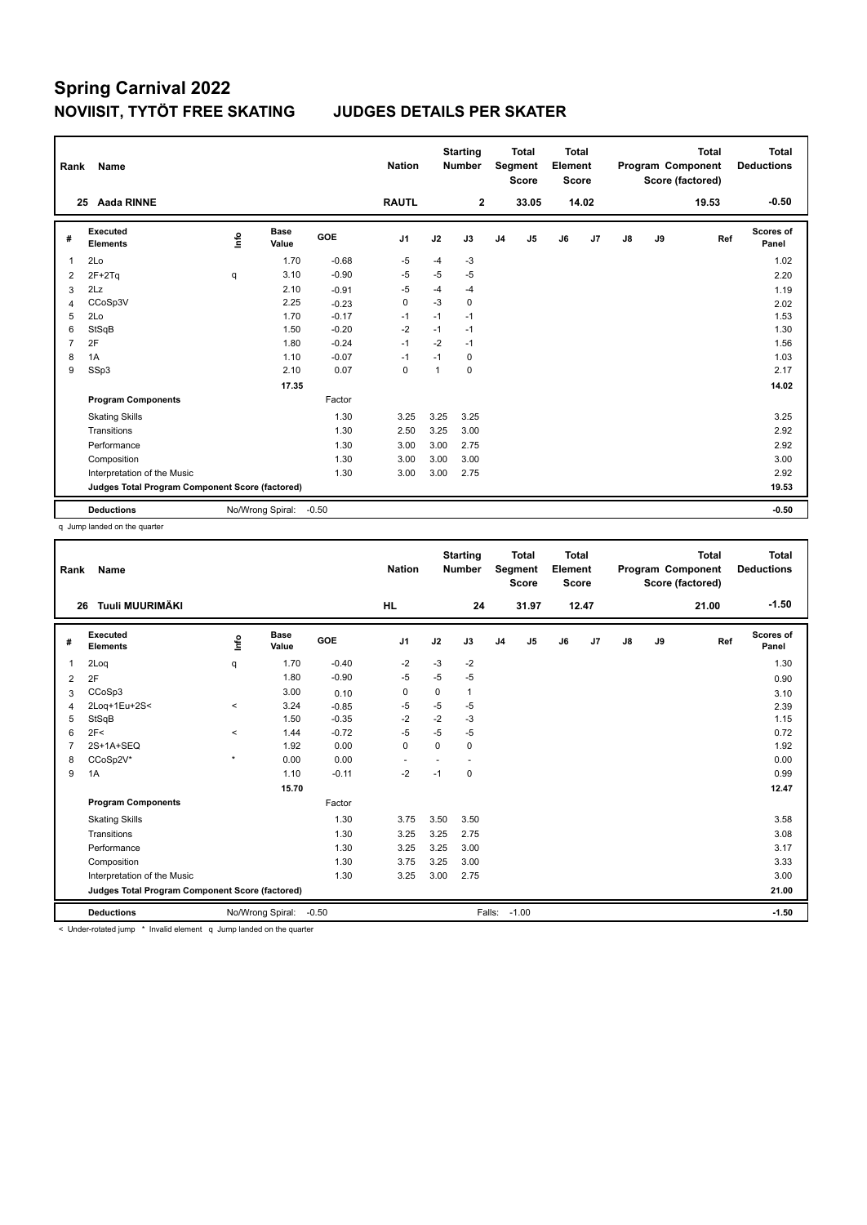| Rank           | Name                                            |      |                      |            | <b>Nation</b>  |      | <b>Starting</b><br><b>Number</b> |                | Total<br>Segment<br><b>Score</b> | Total<br>Element<br><b>Score</b> |       |    |    | <b>Total</b><br>Program Component<br>Score (factored) | Total<br><b>Deductions</b> |
|----------------|-------------------------------------------------|------|----------------------|------------|----------------|------|----------------------------------|----------------|----------------------------------|----------------------------------|-------|----|----|-------------------------------------------------------|----------------------------|
|                | <b>Aada RINNE</b><br>25                         |      |                      |            | <b>RAUTL</b>   |      | $\mathbf{2}$                     |                | 33.05                            |                                  | 14.02 |    |    | 19.53                                                 | $-0.50$                    |
| #              | Executed<br><b>Elements</b>                     | ١nfo | <b>Base</b><br>Value | <b>GOE</b> | J <sub>1</sub> | J2   | J3                               | J <sub>4</sub> | J5                               | J6                               | J7    | J8 | J9 | Ref                                                   | <b>Scores of</b><br>Panel  |
| 1              | 2Lo                                             |      | 1.70                 | $-0.68$    | -5             | $-4$ | $-3$                             |                |                                  |                                  |       |    |    |                                                       | 1.02                       |
| 2              | $2F+2Tq$                                        | q    | 3.10                 | $-0.90$    | -5             | -5   | $-5$                             |                |                                  |                                  |       |    |    |                                                       | 2.20                       |
| 3              | 2Lz                                             |      | 2.10                 | $-0.91$    | $-5$           | $-4$ | $-4$                             |                |                                  |                                  |       |    |    |                                                       | 1.19                       |
| $\overline{4}$ | CCoSp3V                                         |      | 2.25                 | $-0.23$    | 0              | $-3$ | 0                                |                |                                  |                                  |       |    |    |                                                       | 2.02                       |
| 5              | 2Lo                                             |      | 1.70                 | $-0.17$    | $-1$           | $-1$ | $-1$                             |                |                                  |                                  |       |    |    |                                                       | 1.53                       |
| 6              | StSqB                                           |      | 1.50                 | $-0.20$    | $-2$           | $-1$ | $-1$                             |                |                                  |                                  |       |    |    |                                                       | 1.30                       |
| $\overline{7}$ | 2F                                              |      | 1.80                 | $-0.24$    | $-1$           | $-2$ | $-1$                             |                |                                  |                                  |       |    |    |                                                       | 1.56                       |
| 8              | 1A                                              |      | 1.10                 | $-0.07$    | $-1$           | $-1$ | 0                                |                |                                  |                                  |       |    |    |                                                       | 1.03                       |
| 9              | SSp3                                            |      | 2.10                 | 0.07       | $\pmb{0}$      | 1    | 0                                |                |                                  |                                  |       |    |    |                                                       | 2.17                       |
|                |                                                 |      | 17.35                |            |                |      |                                  |                |                                  |                                  |       |    |    |                                                       | 14.02                      |
|                | <b>Program Components</b>                       |      |                      | Factor     |                |      |                                  |                |                                  |                                  |       |    |    |                                                       |                            |
|                | <b>Skating Skills</b>                           |      |                      | 1.30       | 3.25           | 3.25 | 3.25                             |                |                                  |                                  |       |    |    |                                                       | 3.25                       |
|                | Transitions                                     |      |                      | 1.30       | 2.50           | 3.25 | 3.00                             |                |                                  |                                  |       |    |    |                                                       | 2.92                       |
|                | Performance                                     |      |                      | 1.30       | 3.00           | 3.00 | 2.75                             |                |                                  |                                  |       |    |    |                                                       | 2.92                       |
|                | Composition                                     |      |                      | 1.30       | 3.00           | 3.00 | 3.00                             |                |                                  |                                  |       |    |    |                                                       | 3.00                       |
|                | Interpretation of the Music                     |      |                      | 1.30       | 3.00           | 3.00 | 2.75                             |                |                                  |                                  |       |    |    |                                                       | 2.92                       |
|                | Judges Total Program Component Score (factored) |      |                      |            |                |      |                                  |                |                                  |                                  |       |    |    |                                                       | 19.53                      |
|                | <b>Deductions</b>                               |      | No/Wrong Spiral:     | $-0.50$    |                |      |                                  |                |                                  |                                  |       |    |    |                                                       | $-0.50$                    |

q Jump landed on the quarter

| Rank           | Name                                            |          |                      |            | <b>Nation</b>            |         | <b>Starting</b><br><b>Number</b> |                | <b>Total</b><br><b>Segment</b><br><b>Score</b> | <b>Total</b><br>Element<br><b>Score</b> |       |               |    | <b>Total</b><br>Program Component<br>Score (factored) | Total<br><b>Deductions</b> |
|----------------|-------------------------------------------------|----------|----------------------|------------|--------------------------|---------|----------------------------------|----------------|------------------------------------------------|-----------------------------------------|-------|---------------|----|-------------------------------------------------------|----------------------------|
|                | Tuuli MUURIMÄKI<br>26                           |          |                      |            | <b>HL</b>                |         | 24                               |                | 31.97                                          |                                         | 12.47 |               |    | 21.00                                                 | $-1.50$                    |
| #              | Executed<br><b>Elements</b>                     | lnfo     | <b>Base</b><br>Value | <b>GOE</b> | J <sub>1</sub>           | J2      | J3                               | J <sub>4</sub> | J5                                             | J6                                      | J7    | $\mathsf{J}8$ | J9 | Ref                                                   | <b>Scores of</b><br>Panel  |
| 1              | 2Loq                                            | q        | 1.70                 | $-0.40$    | $-2$                     | $-3$    | $-2$                             |                |                                                |                                         |       |               |    |                                                       | 1.30                       |
| $\overline{2}$ | 2F                                              |          | 1.80                 | $-0.90$    | $-5$                     | $-5$    | $-5$                             |                |                                                |                                         |       |               |    |                                                       | 0.90                       |
| 3              | CCoSp3                                          |          | 3.00                 | 0.10       | 0                        | 0       | 1                                |                |                                                |                                         |       |               |    |                                                       | 3.10                       |
| 4              | 2Loq+1Eu+2S<                                    | $\hat{}$ | 3.24                 | $-0.85$    | $-5$                     | -5      | $-5$                             |                |                                                |                                         |       |               |    |                                                       | 2.39                       |
| 5              | StSqB                                           |          | 1.50                 | $-0.35$    | $-2$                     | $-2$    | $-3$                             |                |                                                |                                         |       |               |    |                                                       | 1.15                       |
| 6              | 2F<                                             | $\prec$  | 1.44                 | $-0.72$    | $-5$                     | $-5$    | $-5$                             |                |                                                |                                         |       |               |    |                                                       | 0.72                       |
| $\overline{7}$ | 2S+1A+SEQ                                       |          | 1.92                 | 0.00       | $\mathbf 0$              | 0       | 0                                |                |                                                |                                         |       |               |    |                                                       | 1.92                       |
| 8              | CCoSp2V*                                        | $\star$  | 0.00                 | 0.00       | $\overline{\phantom{a}}$ | ÷       | $\overline{\phantom{a}}$         |                |                                                |                                         |       |               |    |                                                       | 0.00                       |
| 9              | 1A                                              |          | 1.10                 | $-0.11$    | $-2$                     | $-1$    | 0                                |                |                                                |                                         |       |               |    |                                                       | 0.99                       |
|                |                                                 |          |                      |            |                          |         |                                  |                |                                                |                                         |       | 12.47         |    |                                                       |                            |
|                | <b>Program Components</b>                       |          |                      | Factor     |                          |         |                                  |                |                                                |                                         |       |               |    |                                                       |                            |
|                | <b>Skating Skills</b>                           |          |                      | 1.30       | 3.75                     | 3.50    | 3.50                             |                |                                                |                                         |       |               |    |                                                       | 3.58                       |
|                | Transitions                                     |          |                      | 1.30       | 3.25                     | 3.25    | 2.75                             |                |                                                |                                         |       |               |    |                                                       | 3.08                       |
|                | Performance                                     |          |                      | 1.30       | 3.25                     | 3.25    | 3.00                             |                |                                                |                                         |       |               |    |                                                       | 3.17                       |
|                | Composition                                     |          |                      | 1.30       | 3.75                     | 3.25    | 3.00                             |                |                                                |                                         |       |               |    |                                                       | 3.33                       |
|                | Interpretation of the Music                     |          |                      | 1.30       | 3.25                     | 3.00    | 2.75                             |                |                                                |                                         |       |               |    |                                                       | 3.00                       |
|                | Judges Total Program Component Score (factored) |          |                      |            |                          |         |                                  |                |                                                |                                         |       |               |    | 21.00                                                 |                            |
|                | <b>Deductions</b>                               |          |                      | Falls:     |                          | $-1.00$ |                                  |                |                                                |                                         |       | $-1.50$       |    |                                                       |                            |

< Under-rotated jump \* Invalid element q Jump landed on the quarter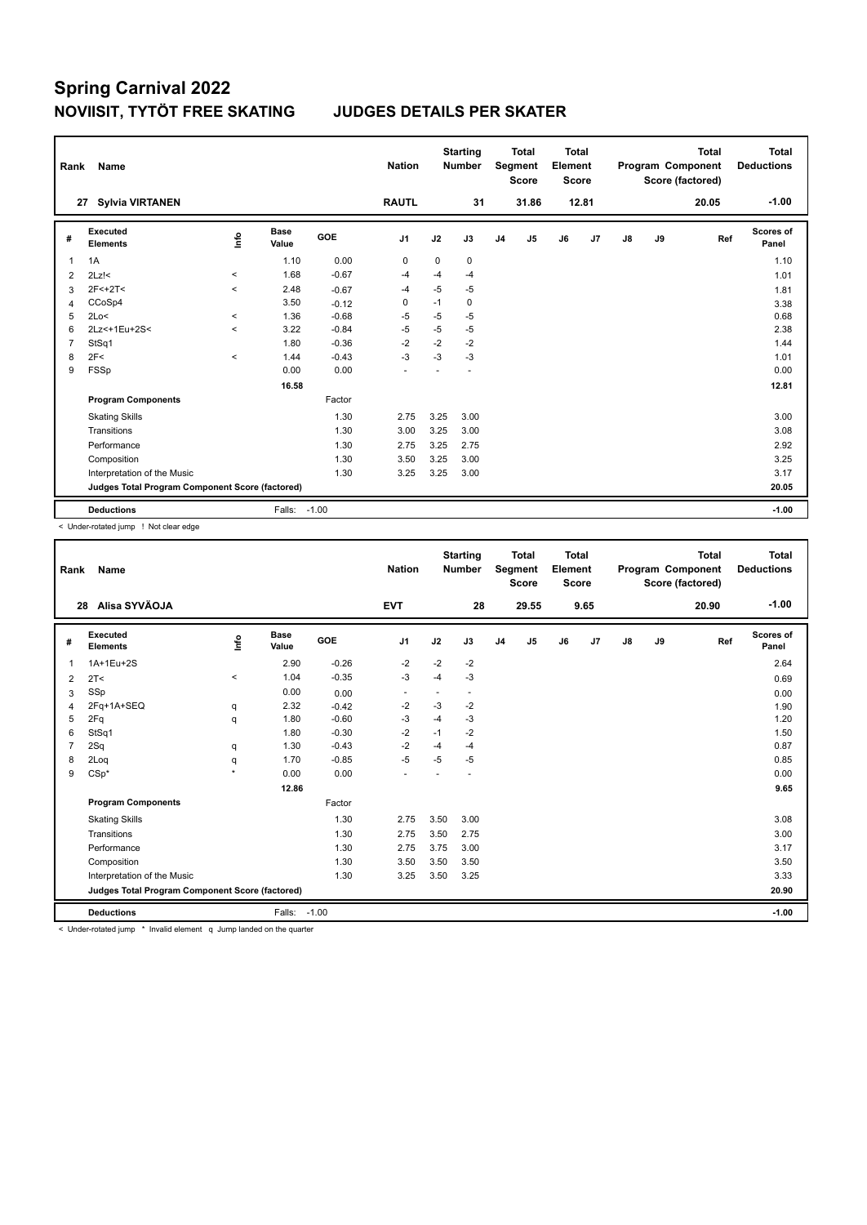| Rank                                            | Name                         |         |               |         | <b>Nation</b>  |      | <b>Starting</b><br><b>Number</b> |                | Total<br>Segment<br><b>Score</b> | <b>Total</b><br>Element<br>Score |       |               |       | <b>Total</b><br>Program Component<br>Score (factored) | <b>Total</b><br><b>Deductions</b> |
|-------------------------------------------------|------------------------------|---------|---------------|---------|----------------|------|----------------------------------|----------------|----------------------------------|----------------------------------|-------|---------------|-------|-------------------------------------------------------|-----------------------------------|
|                                                 | <b>Sylvia VIRTANEN</b><br>27 |         |               |         | <b>RAUTL</b>   |      | 31                               |                | 31.86                            |                                  | 12.81 |               |       | 20.05                                                 | $-1.00$                           |
| #                                               | Executed<br><b>Elements</b>  | ١nfo    | Base<br>Value | GOE     | J <sub>1</sub> | J2   | J3                               | J <sub>4</sub> | J5                               | J6                               | J7    | $\mathsf{J}8$ | J9    | Ref                                                   | Scores of<br>Panel                |
| 1                                               | 1A                           |         | 1.10          | 0.00    | 0              | 0    | 0                                |                |                                  |                                  |       |               |       |                                                       | 1.10                              |
| 2                                               | $2Lz$ !<                     | $\prec$ | 1.68          | $-0.67$ | -4             | $-4$ | $-4$                             |                |                                  |                                  |       |               |       |                                                       | 1.01                              |
| 3                                               | $2F<+2T<$                    | $\prec$ | 2.48          | $-0.67$ | -4             | $-5$ | $-5$                             |                |                                  |                                  |       |               |       |                                                       | 1.81                              |
| 4                                               | CCoSp4                       |         | 3.50          | $-0.12$ | 0              | $-1$ | 0                                |                |                                  |                                  |       |               |       |                                                       | 3.38                              |
| 5                                               | 2Lo<                         | $\prec$ | 1.36          | $-0.68$ | $-5$           | $-5$ | $-5$                             |                |                                  |                                  |       |               |       |                                                       | 0.68                              |
| 6                                               | 2Lz<+1Eu+2S<                 | $\,<$   | 3.22          | $-0.84$ | $-5$           | $-5$ | $-5$                             |                |                                  |                                  |       |               |       |                                                       | 2.38                              |
| $\overline{7}$                                  | StSq1                        |         | 1.80          | $-0.36$ | $-2$           | $-2$ | $-2$                             |                |                                  |                                  |       |               |       |                                                       | 1.44                              |
| 8                                               | 2F<                          | $\,<$   | 1.44          | $-0.43$ | $-3$           | $-3$ | $-3$                             |                |                                  |                                  |       |               |       |                                                       | 1.01                              |
| 9                                               | <b>FSSp</b>                  |         | 0.00          | 0.00    |                |      |                                  |                |                                  |                                  |       |               |       |                                                       | 0.00                              |
|                                                 |                              |         |               |         |                |      |                                  |                |                                  |                                  |       | 12.81         |       |                                                       |                                   |
|                                                 | <b>Program Components</b>    |         |               | Factor  |                |      |                                  |                |                                  |                                  |       |               |       |                                                       |                                   |
|                                                 | <b>Skating Skills</b>        |         |               | 1.30    | 2.75           | 3.25 | 3.00                             |                |                                  |                                  |       |               |       |                                                       | 3.00                              |
|                                                 | Transitions                  |         |               | 1.30    | 3.00           | 3.25 | 3.00                             |                |                                  |                                  |       |               |       |                                                       | 3.08                              |
|                                                 | Performance                  |         |               | 1.30    | 2.75           | 3.25 | 2.75                             |                |                                  |                                  |       |               |       |                                                       | 2.92                              |
|                                                 | Composition                  |         |               | 1.30    | 3.50           | 3.25 | 3.00                             |                |                                  |                                  |       |               |       |                                                       | 3.25                              |
|                                                 | Interpretation of the Music  |         |               | 1.30    | 3.25           | 3.25 | 3.00                             |                |                                  |                                  |       |               |       |                                                       | 3.17                              |
| Judges Total Program Component Score (factored) |                              |         |               |         |                |      |                                  |                |                                  |                                  |       |               | 20.05 |                                                       |                                   |
|                                                 | <b>Deductions</b>            |         | Falls: -1.00  |         |                |      |                                  |                |                                  |                                  |       |               |       |                                                       | $-1.00$                           |

< Under-rotated jump ! Not clear edge

| Rank                                            | Name                               |                     |                      |         | <b>Nation</b>  |      | <b>Starting</b><br><b>Number</b> |                | <b>Total</b><br>Segment<br><b>Score</b> | Total<br>Element<br><b>Score</b> |      |      |       | <b>Total</b><br>Program Component<br>Score (factored) | Total<br><b>Deductions</b> |
|-------------------------------------------------|------------------------------------|---------------------|----------------------|---------|----------------|------|----------------------------------|----------------|-----------------------------------------|----------------------------------|------|------|-------|-------------------------------------------------------|----------------------------|
| 28                                              | Alisa SYVÄOJA                      |                     |                      |         | <b>EVT</b>     |      | 28                               |                | 29.55                                   |                                  | 9.65 |      |       | 20.90                                                 | $-1.00$                    |
| #                                               | <b>Executed</b><br><b>Elements</b> | ١nf٥                | <b>Base</b><br>Value | GOE     | J <sub>1</sub> | J2   | J3                               | J <sub>4</sub> | J5                                      | J6                               | J7   | J8   | J9    | Ref                                                   | Scores of<br>Panel         |
| -1                                              | 1A+1Eu+2S                          |                     | 2.90                 | $-0.26$ | $-2$           | $-2$ | $-2$                             |                |                                         |                                  |      |      |       |                                                       | 2.64                       |
| $\overline{2}$                                  | 2T <                               | $\hat{}$            | 1.04                 | $-0.35$ | -3             | $-4$ | $-3$                             |                |                                         |                                  |      |      |       |                                                       | 0.69                       |
| 3                                               | SSp                                |                     | 0.00                 | 0.00    |                | ٠    | $\tilde{\phantom{a}}$            |                |                                         |                                  |      |      |       |                                                       | 0.00                       |
| $\overline{4}$                                  | 2Fq+1A+SEQ                         | q                   | 2.32                 | $-0.42$ | $-2$           | $-3$ | $-2$                             |                |                                         |                                  |      |      |       |                                                       | 1.90                       |
| 5                                               | 2Fq                                | q                   | 1.80                 | $-0.60$ | $-3$           | $-4$ | $-3$                             |                |                                         |                                  |      |      |       |                                                       | 1.20                       |
| 6                                               | StSq1                              |                     | 1.80                 | $-0.30$ | $-2$           | $-1$ | $-2$                             |                |                                         |                                  |      |      |       |                                                       | 1.50                       |
| 7                                               | 2Sq                                | q                   | 1.30                 | $-0.43$ | $-2$           | $-4$ | $-4$                             |                |                                         |                                  |      |      |       |                                                       | 0.87                       |
| 8                                               | 2Log                               | q                   | 1.70                 | $-0.85$ | $-5$           | $-5$ | $-5$                             |                |                                         |                                  |      |      |       |                                                       | 0.85                       |
| 9                                               | $CSp*$                             | $\boldsymbol{\psi}$ | 0.00                 | 0.00    |                |      |                                  |                |                                         |                                  |      |      |       |                                                       | 0.00                       |
|                                                 |                                    |                     |                      |         |                |      |                                  |                |                                         |                                  |      | 9.65 |       |                                                       |                            |
|                                                 | <b>Program Components</b>          |                     |                      | Factor  |                |      |                                  |                |                                         |                                  |      |      |       |                                                       |                            |
|                                                 | <b>Skating Skills</b>              |                     |                      | 1.30    | 2.75           | 3.50 | 3.00                             |                |                                         |                                  |      |      |       |                                                       | 3.08                       |
|                                                 | Transitions                        |                     |                      | 1.30    | 2.75           | 3.50 | 2.75                             |                |                                         |                                  |      |      |       |                                                       | 3.00                       |
|                                                 | Performance                        |                     |                      | 1.30    | 2.75           | 3.75 | 3.00                             |                |                                         |                                  |      |      |       |                                                       | 3.17                       |
|                                                 | Composition                        |                     |                      | 1.30    | 3.50           | 3.50 | 3.50                             |                |                                         |                                  |      |      |       |                                                       | 3.50                       |
|                                                 | Interpretation of the Music        |                     |                      | 1.30    | 3.25           | 3.50 | 3.25                             |                |                                         |                                  |      |      |       |                                                       | 3.33                       |
| Judges Total Program Component Score (factored) |                                    |                     |                      |         |                |      |                                  |                |                                         |                                  |      |      | 20.90 |                                                       |                            |
|                                                 | <b>Deductions</b>                  |                     | Falls:               | $-1.00$ |                |      |                                  |                |                                         |                                  |      |      |       |                                                       | $-1.00$                    |

< Under-rotated jump \* Invalid element q Jump landed on the quarter